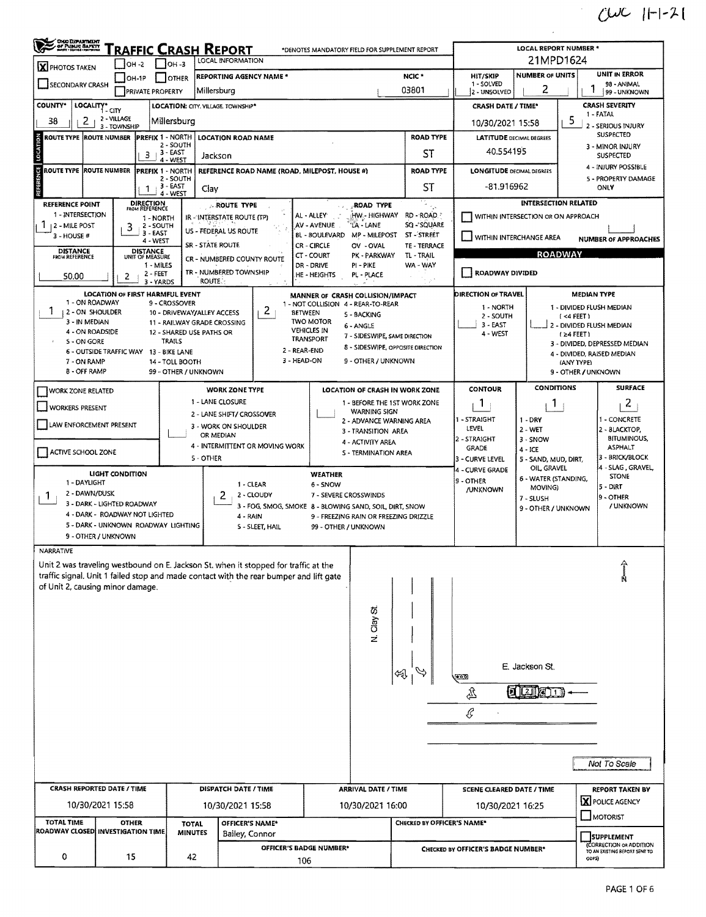## $CUC$  11-1-21

|                                                                                                                                |                                                                                                                                                      |                                                                                                                                                                               |                                                                                                                                                                                                                                                       |                                                                                                        |                                                                                                                        |                                        |                                                                                                      |                                                                               | $($ استالىسى $\sim$                                                                                                                                                                     |  |
|--------------------------------------------------------------------------------------------------------------------------------|------------------------------------------------------------------------------------------------------------------------------------------------------|-------------------------------------------------------------------------------------------------------------------------------------------------------------------------------|-------------------------------------------------------------------------------------------------------------------------------------------------------------------------------------------------------------------------------------------------------|--------------------------------------------------------------------------------------------------------|------------------------------------------------------------------------------------------------------------------------|----------------------------------------|------------------------------------------------------------------------------------------------------|-------------------------------------------------------------------------------|-----------------------------------------------------------------------------------------------------------------------------------------------------------------------------------------|--|
| <b>OHIO DEPARTMENT</b><br>OF PUBLIC BARRYT<br>BERG HAND MORNING                                                                | <u>'raffic Crash Report</u><br>$IOH - 2$                                                                                                             | $1$ OH -3                                                                                                                                                                     | LOCAL INFORMATION                                                                                                                                                                                                                                     |                                                                                                        | *DENOTES MANDATORY FIELD FOR SUPPLEMENT REPORT                                                                         |                                        |                                                                                                      | <b>LOCAL REPORT NUMBER *</b><br>21MPD1624                                     |                                                                                                                                                                                         |  |
| X PHOTOS TAKEN<br><b>SECONDARY CRASH</b>                                                                                       | OH-1P                                                                                                                                                | <b>OTHER</b>                                                                                                                                                                  | <b>REPORTING AGENCY NAME *</b>                                                                                                                                                                                                                        |                                                                                                        |                                                                                                                        | NCIC <sup>*</sup>                      | <b>HIT/SKIP</b><br>1 - SOLVED                                                                        | <b>NUMBER OF UNITS</b>                                                        | UNIT IN ERROR<br>98 - ANIMAL                                                                                                                                                            |  |
| <b>COUNTY*</b>                                                                                                                 | <b>PRIVATE PROPERTY</b>                                                                                                                              |                                                                                                                                                                               | Millersburg                                                                                                                                                                                                                                           |                                                                                                        |                                                                                                                        | 03801                                  | 2 - UNSOLVED                                                                                         | 2                                                                             | 99 - UNKNOWN<br><b>CRASH SEVERITY</b>                                                                                                                                                   |  |
| 38<br>$\mathbf{Z}$                                                                                                             | LOCALITY* CITY<br>2 - VILLAGE                                                                                                                        | Millersburg                                                                                                                                                                   | LOCATION: CITY. VILLAGE. TOWNSHIP*                                                                                                                                                                                                                    |                                                                                                        |                                                                                                                        |                                        | <b>CRASH DATE / TIME*</b>                                                                            |                                                                               | 1 - FATAL<br>5                                                                                                                                                                          |  |
| ROUTE TYPE ROUTE NUMBER                                                                                                        | 3 - TOWNSHIP<br><b>PREFIX 1 - NORTH</b>                                                                                                              |                                                                                                                                                                               | <b>LOCATION ROAD NAME</b>                                                                                                                                                                                                                             |                                                                                                        |                                                                                                                        | <b>ROAD TYPE</b>                       | 10/30/2021 15:58<br><b>LATITUDE</b> DECIMAL DEGREES                                                  |                                                                               | 2 - SERIOUS INJURY<br><b>SUSPECTED</b>                                                                                                                                                  |  |
| LOCATION                                                                                                                       | 3                                                                                                                                                    | 2 - SOUTH<br>3 - EAST<br>$4 - WEST$                                                                                                                                           | Jackson                                                                                                                                                                                                                                               |                                                                                                        |                                                                                                                        | ST                                     | 40.554195                                                                                            | 3 - MINOR INJURY<br><b>SUSPECTED</b>                                          |                                                                                                                                                                                         |  |
| REFERENCE<br>ROUTE TYPE ROUTE NUMBER                                                                                           | <b>PREFIX 1 - NORTH</b><br>1                                                                                                                         | 2 - SOUTH<br>3 - EAST<br>4 - WEST                                                                                                                                             | REFERENCE ROAD NAME (ROAD, MILEPOST, HOUSE #)<br>Clay                                                                                                                                                                                                 |                                                                                                        |                                                                                                                        | <b>ROAD TYPE</b><br>ST                 | 4 - INJURY POSSIBLE<br><b>LONGITUDE DECIMAL DEGREES</b><br>5 - PROPERTY DAMAGE<br>-81.916962<br>ONLY |                                                                               |                                                                                                                                                                                         |  |
| <b>REFERENCE POINT</b><br>1 - INTERSECTION<br>$\frac{1}{2}$   2 - MILE POST                                                    | <b>DIRECTION</b><br>FROM REFERENCE<br>1 - NORTH<br>2 - SOUTH<br>3<br>3 - EAST                                                                        |                                                                                                                                                                               | <b>ROUTE TYPE</b><br>IR - INTERSTATE ROUTE (TP)<br>US - FEDERAL US ROUTE                                                                                                                                                                              | AL - ALLEY<br>AV - AVENUE<br><b>BL - BOULEVARD</b>                                                     | <b>ROAD TYPE</b><br>HW - HIGHWAY<br>'LA - LANE<br>MP - MILEPOST                                                        | RD - ROAD."<br>SQ-"SQUARE<br>ST-STREET | <b>INTERSECTION RELATED</b><br>WITHIN INTERSECTION OR ON APPROACH                                    |                                                                               |                                                                                                                                                                                         |  |
| 3 - HOUSE #<br><b>DISTANCE</b>                                                                                                 | 4 - WEST<br><b>DISTANCE</b>                                                                                                                          |                                                                                                                                                                               | <b>SR - STATE ROUTE</b>                                                                                                                                                                                                                               | CR - CIRCLE                                                                                            | OV-OVAL                                                                                                                | TE - TERRACE                           | WITHIN INTERCHANGE AREA                                                                              |                                                                               | <b>NUMBER OF APPROACHES</b>                                                                                                                                                             |  |
| <b>FROM REFERENCE</b><br>50.00                                                                                                 | UNIT OF MEASURE<br>1 - MILES<br>2 - FEET<br>2                                                                                                        |                                                                                                                                                                               | CR - NUMBERED COUNTY ROUTE<br>TR - NUMBERED TOWNSHIP                                                                                                                                                                                                  | <b>CT - COURT</b><br>DR - DRIVE<br>HE - HEIGHTS                                                        | PK - PARKWAY<br>PI - PIKE<br>PL - PLACE                                                                                | TL - TRAIL<br>WA - WAY                 | <b>ROADWAY DIVIDED</b>                                                                               | <b>ROADWAY</b>                                                                |                                                                                                                                                                                         |  |
|                                                                                                                                | 3 - YARDS<br>LOCATION OF FIRST HARMFUL EVENT                                                                                                         |                                                                                                                                                                               | <b>ROUTE</b>                                                                                                                                                                                                                                          |                                                                                                        | MANNER OF CRASH COLLISION/IMPACT                                                                                       |                                        | DIRECTION OF TRAVEL                                                                                  |                                                                               | <b>MEDIAN TYPE</b>                                                                                                                                                                      |  |
| 1 - ON ROADWAY<br><b>12-ON SHOULDER</b><br>3 - IN MEDIAN<br>4 - ON ROADSIDE<br>5 - ON GORE<br>7 - ON RAMP<br><b>B-OFF RAMP</b> | 6 - OUTSIDE TRAFFIC WAY                                                                                                                              | 9 - CROSSOVER<br>10 - DRIVEWAY/ALLEY ACCESS<br>11 - RAILWAY GRADE CROSSING<br>12 - SHARED USE PATHS OR<br>TRAILS<br>13 - BIKE LANE<br>14 - TOLL BOOTH<br>99 - OTHER / UNKNOWN | 2<br><b>BETWEEN</b><br>2 - REAR-END<br>3 - HEAD-ON                                                                                                                                                                                                    | <b>TWO MOTOR</b><br><b>VEHICLES IN</b><br>TRANSPORT                                                    | 1 - NOT COLLISION 4 - REAR-TO-REAR<br>5 - BACKING<br>6 - ANGLE<br>7 - SIDESWIPE, SAME DIRECTION<br>9 - OTHER / UNKNOWN | 8 - SIDESWIPE, OPPOSITE DIRECTION      | 1 - NORTH<br>2 - SOUTH<br>3 - EAST<br>4 - WEST                                                       |                                                                               | 1 - DIVIDED FLUSH MEDIAN<br>$($ <4 FEET)<br>2 - DIVIDED FLUSH MEDIAN<br>$(24$ FEET)<br>3 - DIVIDED, DEPRESSED MEDIAN<br>4 - DIVIDED, RAISED MEDIAN<br>(ANY TYPE)<br>9 - OTHER / UNKNOWN |  |
| WORK ZONE RELATED                                                                                                              |                                                                                                                                                      |                                                                                                                                                                               | <b>WORK ZONE TYPE</b>                                                                                                                                                                                                                                 |                                                                                                        | <b>LOCATION OF CRASH IN WORK ZONE</b>                                                                                  |                                        | <b>CONTOUR</b>                                                                                       | <b>CONDITIONS</b>                                                             | <b>SURFACE</b>                                                                                                                                                                          |  |
| <b>WORKERS PRESENT</b><br>LAW ENFORCEMENT PRESENT                                                                              |                                                                                                                                                      |                                                                                                                                                                               | 1 - LANE CLOSURE<br>2 - LANE SHIFT/ CROSSOVER<br>3 - WORK ON SHOULDER<br>OR MEDIAN                                                                                                                                                                    | 1 - BEFORE THE 1ST WORK ZONE<br><b>WARNING SIGN</b><br>2 - ADVANCE WARNING AREA<br>3 - TRANSITION AREA | 1<br>1 - STRAIGHT<br>LEVEL<br>2 - STRAIGHT                                                                             | 1<br>$1 - DRY$<br>2 - WET<br>3 - SNOW  | 2<br>1 - CONCRETE<br>2 - BLACKTOP,<br><b>BITUMINOUS,</b>                                             |                                                                               |                                                                                                                                                                                         |  |
| ACTIVE SCHOOL ZONE                                                                                                             |                                                                                                                                                      | 5 - OTHER                                                                                                                                                                     | 4 - INTERMITTENT OR MOVING WORK                                                                                                                                                                                                                       | 4 - ACTIVITY AREA<br><b>S - TERMINATION AREA</b>                                                       |                                                                                                                        |                                        | <b>GRADE</b><br>3 - CURVE LEVEL                                                                      | $4 - ICE$<br>5 - SAND, MUD, DIRT,<br>OIL GRAVEL                               | ASPHALT<br>3 - BRICK/BLOCK<br>14 - SLAG , GRAVEL,                                                                                                                                       |  |
| 1 - DAYLIGHT<br>2 - DAWN/DUSK<br>1.                                                                                            | <b>LIGHT CONDITION</b><br>3 - DARK - LIGHTED ROADWAY<br>4 - DARK - ROADWAY NOT LIGHTED<br>5 - DARK - UNKNOWN ROADWAY LIGHTING<br>9 - OTHER / UNKNOWN |                                                                                                                                                                               | <b>WEATHER</b><br>1 - CLEAR<br>6 - SNOW<br>2 - CLOUDY<br>7 - SEVERE CROSSWINDS<br>2<br>3 - FOG, SMOG, SMOKE 8 - BLOWING SAND, SOIL, DIRT, SNOW<br>4 - RAIN<br>9 - FREEZING RAIN OR FREEZING DRIZZLE<br><b>S - SLEET, HAIL</b><br>99 - OTHER / UNKNOWN |                                                                                                        |                                                                                                                        |                                        | 4 - CURVE GRADE<br>9 - OTHER<br><b>/UNKNOWN</b>                                                      | 6 - WATER (STANDING,<br>MOVING)<br>7 - SLUSH<br>9 - OTHER / UNKNOWN           | <b>STONE</b><br>5 - DIRT<br>9 - OTHER<br>/ UNKNOWN                                                                                                                                      |  |
| NARRATIVE                                                                                                                      | of Unit 2, causing minor damage.                                                                                                                     |                                                                                                                                                                               | Unit 2 was traveling westbound on E. Jackson St. when it stopped for traffic at the<br>traffic signal. Unit 1 failed stop and made contact with the rear bumper and lift gate                                                                         |                                                                                                        |                                                                                                                        |                                        |                                                                                                      |                                                                               | Ą<br>Ň                                                                                                                                                                                  |  |
|                                                                                                                                |                                                                                                                                                      |                                                                                                                                                                               |                                                                                                                                                                                                                                                       |                                                                                                        | ದ<br>೧∈೦⊻                                                                                                              | લ્લુ                                   | (900)                                                                                                | E. Jackson St.                                                                |                                                                                                                                                                                         |  |
|                                                                                                                                |                                                                                                                                                      |                                                                                                                                                                               |                                                                                                                                                                                                                                                       |                                                                                                        |                                                                                                                        |                                        | Ĵ,                                                                                                   | <b>dulan</b> .                                                                |                                                                                                                                                                                         |  |
|                                                                                                                                |                                                                                                                                                      |                                                                                                                                                                               |                                                                                                                                                                                                                                                       |                                                                                                        |                                                                                                                        |                                        | $\mathscr{C}$                                                                                        |                                                                               |                                                                                                                                                                                         |  |
|                                                                                                                                |                                                                                                                                                      |                                                                                                                                                                               |                                                                                                                                                                                                                                                       |                                                                                                        |                                                                                                                        |                                        |                                                                                                      |                                                                               |                                                                                                                                                                                         |  |
|                                                                                                                                |                                                                                                                                                      |                                                                                                                                                                               |                                                                                                                                                                                                                                                       |                                                                                                        |                                                                                                                        |                                        |                                                                                                      |                                                                               | Not To Scale                                                                                                                                                                            |  |
|                                                                                                                                | <b>CRASH REPORTED DATE / TIME</b><br>10/30/2021 15:58                                                                                                |                                                                                                                                                                               | DISPATCH DATE / TIME<br>10/30/2021 15:58                                                                                                                                                                                                              |                                                                                                        | <b>ARRIVAL DATE / TIME</b><br>10/30/2021 16:00                                                                         |                                        | <b>SCENE CLEARED DATE / TIME</b>                                                                     |                                                                               | <b>REPORT TAKEN BY</b><br><b>X</b> POLICE AGENCY                                                                                                                                        |  |
| <b>TOTAL TIME</b>                                                                                                              | <b>OTHER</b>                                                                                                                                         | <b>TOTAL</b>                                                                                                                                                                  | OFFICER'S NAME*                                                                                                                                                                                                                                       |                                                                                                        |                                                                                                                        |                                        | 10/30/2021 16:25<br>MOTORIST<br>CHECKED BY OFFICER'S NAME*                                           |                                                                               |                                                                                                                                                                                         |  |
|                                                                                                                                | ROADWAY CLOSED INVESTIGATION TIME                                                                                                                    | <b>MINUTES</b>                                                                                                                                                                | <b>Bailey, Connor</b><br>OFFICER'S BADGE NUMBER*                                                                                                                                                                                                      |                                                                                                        | CHECKED BY OFFICER'S BADGE NUMBER*                                                                                     |                                        |                                                                                                      | <b>SUPPLEMENT</b><br>(CORRECTION OR ADDITION<br>TO AN EXISTING REPORT SENT TO |                                                                                                                                                                                         |  |
| 0<br>15<br>42<br>106                                                                                                           |                                                                                                                                                      |                                                                                                                                                                               |                                                                                                                                                                                                                                                       |                                                                                                        |                                                                                                                        | ODPS)                                  |                                                                                                      |                                                                               |                                                                                                                                                                                         |  |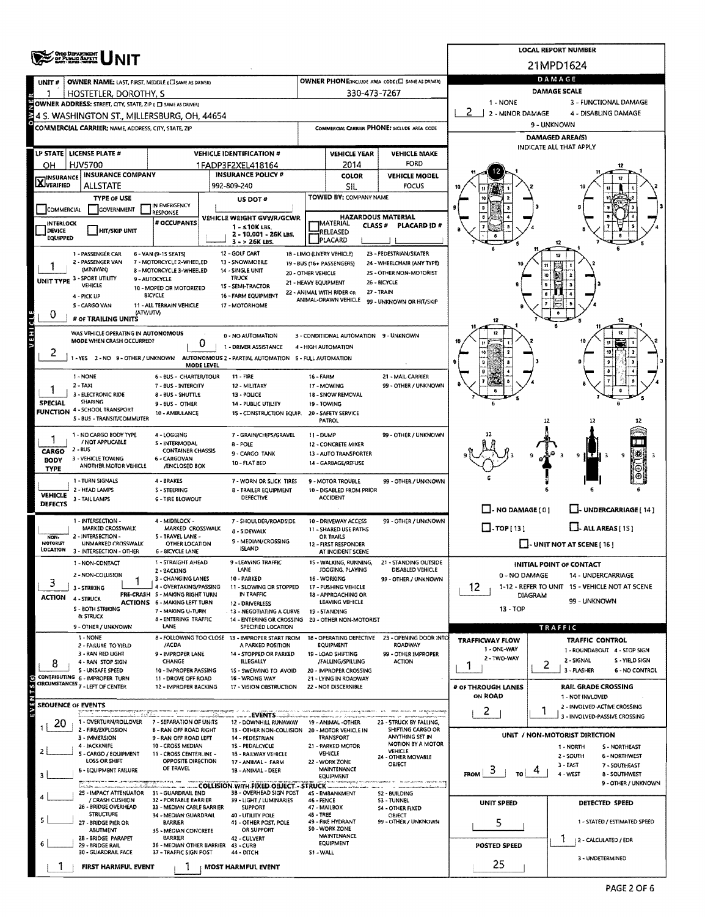|                                  | <b>ONIG DEPARTMENT</b><br>OF PUBLIC BAFETY                                                         |                                                           | <b>LOCAL REPORT NUMBER</b>                                                      |                                                                       |                                                   |                                                       |                                            |                |                                                                      |  |  |  |
|----------------------------------|----------------------------------------------------------------------------------------------------|-----------------------------------------------------------|---------------------------------------------------------------------------------|-----------------------------------------------------------------------|---------------------------------------------------|-------------------------------------------------------|--------------------------------------------|----------------|----------------------------------------------------------------------|--|--|--|
|                                  |                                                                                                    |                                                           |                                                                                 |                                                                       | 21MPD1624                                         |                                                       |                                            |                |                                                                      |  |  |  |
| UNIT#                            | <b>OWNER NAME: LAST, FIRST, MIDDLE (C) SAME AS DRIVER)</b>                                         |                                                           | OWNER PHONE:INCLUDE AREA CODE (E SAME AS DRIVER)                                |                                                                       |                                                   | DAMAGE                                                |                                            |                |                                                                      |  |  |  |
|                                  | HOSTETLER, DOROTHY, S                                                                              |                                                           |                                                                                 |                                                                       | 330-473-7267                                      |                                                       | 1 - NONE                                   |                | <b>DAMAGE SCALE</b><br>3 - FUNCTIONAL DAMAGE                         |  |  |  |
|                                  | OWNER ADDRESS: STREET, CITY, STATE, ZIP ( C) SAME AS DRIVER!                                       |                                                           |                                                                                 | 2 - MINOR DAMAGE                                                      |                                                   | 4 - DISABLING DAMAGE                                  |                                            |                |                                                                      |  |  |  |
|                                  | 4 S. WASHINGTON ST., MILLERSBURG, OH, 44654<br>COMMERCIAL CARRIER: NAME, ADDRESS, CITY, STATE, ZIP |                                                           | COMMERCIAL CARRIER PHONE: INCLUDE AREA CODE                                     | 9 - UNKNOWN                                                           |                                                   |                                                       |                                            |                |                                                                      |  |  |  |
|                                  |                                                                                                    |                                                           | <b>DAMAGED AREA(S)</b>                                                          |                                                                       |                                                   |                                                       |                                            |                |                                                                      |  |  |  |
|                                  | LP STATE   LICENSE PLATE #                                                                         |                                                           | <b>VEHICLE IDENTIFICATION #</b>                                                 |                                                                       | <b>VEHICLE YEAR</b>                               | <b>VEHICLE MAKE</b>                                   |                                            |                | INDICATE ALL THAT APPLY                                              |  |  |  |
| он                               | HJV5700                                                                                            |                                                           | 1FADP3F2XEL418164                                                               |                                                                       | 2014                                              | <b>FORD</b>                                           |                                            |                |                                                                      |  |  |  |
| <b>X</b> INSURANCE               | <b>INSURANCE COMPANY</b>                                                                           |                                                           | <b>INSURANCE POLICY #</b>                                                       |                                                                       | <b>COLOR</b>                                      | <b>VEHICLE MODEL</b>                                  |                                            |                |                                                                      |  |  |  |
|                                  | <b>ALLSTATE</b>                                                                                    |                                                           | 992-809-240                                                                     |                                                                       | SIL                                               | <b>FOCUS</b>                                          |                                            |                |                                                                      |  |  |  |
|                                  | <b>TYPE OF USE</b>                                                                                 | IN EMERGENCY                                              | US DOT #                                                                        |                                                                       | TOWED BY: COMPANY NAME                            |                                                       |                                            |                |                                                                      |  |  |  |
| COMMERCIAL                       | GOVERNMENT                                                                                         | RESPONSE                                                  | VEHICLE WEIGHT GVWR/GCWR                                                        |                                                                       | <b>HAZARDOUS MATERIAL</b>                         |                                                       |                                            |                |                                                                      |  |  |  |
| INTERLOCK<br><b>DEVICE</b>       | HIT/SKIP UNIT                                                                                      | # OCCUPANTS                                               | $1 - 510K$ LBS.<br>2 - 10,001 - 26K LBS.                                        |                                                                       | MATERIAL<br><b>CLASS#</b><br>RELEASED             | PLACARD ID #                                          |                                            |                |                                                                      |  |  |  |
| <b>EQUIPPED</b>                  |                                                                                                    |                                                           | $3 - 26K$ LBS.                                                                  |                                                                       | PLACARD                                           |                                                       |                                            |                |                                                                      |  |  |  |
|                                  | 1 - PASSENGER CAR<br>2 - PASSENGER VAN                                                             | 6 - VAN (9-15 SEATS)<br>7 - MOTORCYCLE 2-WHEELED          | 12 - GOLF CART<br>13 - SNOWMOBILE                                               |                                                                       | 1B - LIMO (LIVERY VEHICLE)                        | 23 - PEDESTRIAN/SKATER                                |                                            |                | 12                                                                   |  |  |  |
|                                  | (MINIVAN)                                                                                          | 8 - MOTORCYCLE 3-WHEELED                                  | 14 - SINGLE UNIT<br>20 - OTHER VEHICLE                                          |                                                                       | 19 - BUS (16+ PASSENGERS)                         | 24 - WHEELCHAIR (ANY TYPE)<br>25 - OTHER NON-MOTORIST |                                            | 10             | 取                                                                    |  |  |  |
|                                  | UNIT TYPE 3 - SPORT UTILITY<br>VEHICLE                                                             | 9 - AUTOCYCLE<br>10 - MOPED OR MOTORIZED                  | <b>TRUCK</b><br>21 - HEAVY EQUIPMENT<br>15 - SEMI-TRACTOR                       |                                                                       |                                                   | 26 - BICYCLE                                          |                                            |                |                                                                      |  |  |  |
|                                  | 4 - PICK UP                                                                                        | <b>BICYCLE</b>                                            | 16 - FARM EQUIPMENT                                                             |                                                                       | 22 - ANIMAL WITH RIDER OR<br>ANIMAL-DRAWN VEHICLE | 27 - TRAIN<br>99 - UNKNOWN OR HIT/SKIP                |                                            |                |                                                                      |  |  |  |
| 0                                | <b>S-CARGO VAN</b><br>(ATV/UTV)                                                                    | 11 - ALL TERRAIN VEHICLE                                  | 17 - MOTORHOME                                                                  |                                                                       |                                                   |                                                       |                                            |                |                                                                      |  |  |  |
| VEHICLE                          | # OF TRAILING UNITS                                                                                |                                                           |                                                                                 |                                                                       |                                                   |                                                       |                                            |                |                                                                      |  |  |  |
|                                  | WAS VEHICLE OPERATING IN AUTONOMOUS<br>MODE WHEN CRASH OCCURRED?                                   |                                                           | 0 - NO AUTOMATION                                                               |                                                                       | 3 - CONDITIONAL AUTOMATION 9 - UNKNOWN            |                                                       |                                            |                |                                                                      |  |  |  |
| ۷                                |                                                                                                    | 0                                                         | 1 - DRIVER ASSISTANCE                                                           |                                                                       | 4 - HIGH AUTOMATION                               |                                                       |                                            |                |                                                                      |  |  |  |
|                                  | 1-YES 2-NO 9-OTHER/UNKNOWN                                                                         | MODE LEVEL                                                | AUTONOMOUS 2 - PARTIAL AUTOMATION 5 - FULL AUTOMATION                           |                                                                       |                                                   |                                                       |                                            |                |                                                                      |  |  |  |
|                                  | 1 - NONE                                                                                           | 6 - BUS - CHARTER/TOUR                                    | 11 - FIRE                                                                       | <b>16 - FARM</b>                                                      |                                                   | 21 - MAIL CARRIER                                     | B                                          |                |                                                                      |  |  |  |
|                                  | $2 - TAX1$<br>3 - ELECTRONIC RIDE                                                                  | 7 - BUS - INTERCITY<br>8 - BUS - SHUTTLE                  | 12 - MILITARY<br>13 - POLICE                                                    |                                                                       | 17 MOWING<br>18 - SNOW REMOVAL                    | 99 - OTHER / UNKNOWN                                  |                                            |                |                                                                      |  |  |  |
| <b>SPECIAL</b>                   | <b>SHARING</b>                                                                                     | 9-BUS-OTHER                                               | <b>14 - PUBLIC UTILITY</b>                                                      | 19 - TOWING                                                           |                                                   |                                                       |                                            |                |                                                                      |  |  |  |
|                                  | <b>FUNCTION 4-SCHOOL TRANSPORT</b><br><b>S-BUS-TRANSIT/COMMUTER</b>                                | 10 - AMBULANCE                                            | 15 - CONSTRUCTION EQUIP. 20 - SAFETY SERVICE                                    |                                                                       | PATROL                                            |                                                       |                                            | 12             |                                                                      |  |  |  |
|                                  | 1 - NO CARGO BODY TYPE                                                                             | 4 - LOGGING                                               | 7 - GRAIN/CHIPS/GRAVEL                                                          | 11 - DUMP<br>99 - OTHER / UNKNOWN                                     |                                                   |                                                       |                                            |                |                                                                      |  |  |  |
|                                  | / NOT APPUCABLE<br>$2 - BUS$                                                                       | <b>S - INTERMODAL</b>                                     | 8 - POLE                                                                        |                                                                       | 12 - CONCRETE MIXER                               |                                                       |                                            |                |                                                                      |  |  |  |
| CARGO<br><b>BODY</b>             | 3 - VEHICLE TOWING                                                                                 | <b>CONTAINER CHASSIS</b><br>6 - CARGOVAN                  | 9 - CARGO TANK                                                                  |                                                                       | 13 - AUTO TRANSPORTER                             |                                                       |                                            |                | ΙŦ<br>9<br>9                                                         |  |  |  |
| <b>TYPE</b>                      | ANOTHER MOTOR VEHICLE                                                                              | <b>/ENCLOSED BOX</b>                                      | 10 - FLAT BED                                                                   |                                                                       | 14 - GARBAGE/REFUSE                               |                                                       |                                            |                |                                                                      |  |  |  |
|                                  | 1 - TURN SIGNALS<br>2 - HEAD LAMPS                                                                 | 4 - BRAKES                                                | 7 - WORN OR SLICK TIRES                                                         |                                                                       | 9 - MOTOR TROUBLE<br>10 - DISABLED FROM PRIOR     | 99 - OTHER / UNKNOWN                                  |                                            |                |                                                                      |  |  |  |
| <b>VEHICLE</b><br><b>DEFECTS</b> | 3 - TAIL LAMPS                                                                                     | <b>S-STEERING</b><br><b>6 - TIRE BLOWOUT</b>              | <b>8 - TRAILER EQUIPMENT</b><br>DEFECTIVE                                       |                                                                       | <b>ACCIDENT</b>                                   |                                                       |                                            |                |                                                                      |  |  |  |
|                                  |                                                                                                    |                                                           |                                                                                 |                                                                       |                                                   |                                                       | $\Box$ -NO DAMAGE $\Box$                   |                | - UNDERCARRIAGE [ 14 ]                                               |  |  |  |
|                                  | 1 - INTERSECTION -<br>MARKED CROSSWALK                                                             | 4 - MIDBLOCK -<br>MARKED CROSSWALK                        | 7 - SHOULDER/ROADSIDE<br>8 - SIDEWALK                                           | 10 - DRIVEWAY ACCESS<br>99 - OTHER / UNKNOWN<br>11 - SHARED USE PATHS |                                                   |                                                       | $\Box$ -TOP[13]<br>$\Box$ - ALL AREAS [15] |                |                                                                      |  |  |  |
| NON-<br><b>MOTORIST</b>          | 2 - INTERSECTION -<br>UNMARKED CROSSWALK                                                           | <b>S-TRAVEL LANE -</b><br><b>OTHER LOCATION</b>           | 9 - MEDIAN/CROSSING                                                             | OR TRAILS                                                             |                                                   |                                                       |                                            |                |                                                                      |  |  |  |
| LOCATION                         | 3 - INTERSECTION - OTHER                                                                           | <b>6 - BICYCLE LANE</b>                                   | <b>ISLAND</b>                                                                   |                                                                       | 12 - FIRST RESPONDER<br>AT INCIDENT SCENE         |                                                       | $\Box$ - UNIT NOT AT SCENE [ 16 ]          |                |                                                                      |  |  |  |
|                                  | <b>1 - NON-CONTACT</b>                                                                             | 1 - STRAIGHT AHEAD<br>2 - BACKING                         | - LEAVING TRAFFIC<br>LANE                                                       |                                                                       | 15 - WALKING, RUNNING,<br>JOGGING, PLAYING        | 21 - STANDING OUTSIDE<br>DISABLED VEHICLE             | <b>INITIAL POINT OF CONTACT</b>            |                |                                                                      |  |  |  |
| 3                                | 2 - NON-COLLISION                                                                                  | 3 - CHANGING LANES                                        | 10 - PARKED                                                                     |                                                                       | 16 - WORKING                                      | 99 - OTHER / UNKNOWN                                  | 0 - NO DAMAGE                              |                | 14 - UNDERCARRIAGE                                                   |  |  |  |
| <b>ACTION</b>                    | 3 - STRIKING                                                                                       | 4 - OVERTAKING/PASSING<br>PRE-CRASH 5 - MAKING RIGHT TURN | 11 - SLOWING OR STOPPED<br>IN TRAFFIC                                           |                                                                       | 17 - PUSHING VEHICLE<br>18 - APPROACHING OR       |                                                       | 12                                         | <b>DIAGRAM</b> | 1-12 - REFER TO UNIT 15 - VEHICLE NOT AT SCENE                       |  |  |  |
|                                  | 4 - STRUCK<br>S - BOTH STRIKING                                                                    | <b>ACTIONS 6 - MAKING LEFT TURN</b><br>7 - MAKING U-TURN  | 12 - DRIVERLESS                                                                 |                                                                       | LEAVING VEHICLE<br>19 - STANDING                  |                                                       | 13 - TOP                                   |                | 99 - UNKNOWN                                                         |  |  |  |
|                                  | & STRUCK                                                                                           | <b>8 - ENTERING TRAFFIC</b>                               | . 13 - NEGOTIATING A CURVE<br>14 - ENTERING OR CROSSING 20 - OTHER NON-MOTORIST |                                                                       |                                                   |                                                       |                                            |                |                                                                      |  |  |  |
|                                  | 9 - OTHER / UNKNOWN<br>1 - NONE                                                                    | LANE                                                      | SPECIFIED LOCATION<br>8 - FOLLOWING TOO CLOSE 13 - IMPROPER START FROM          |                                                                       | 18 - OPERATING DEFECTIVE                          | 23 - OPENING DOOR INTO                                |                                            |                | TRAFFIC                                                              |  |  |  |
|                                  | 2 - FAILURE TO YIELD                                                                               | /ACDA                                                     | A PARKED POSITION                                                               |                                                                       | <b>EQUIPMENT</b>                                  | <b>ROADWAY</b>                                        | <b>TRAFFICWAY FLOW</b><br>1 - ONE-WAY      |                | <b>TRAFFIC CONTROL</b><br>1 - ROUNDABOUT 4 - STOP SIGN               |  |  |  |
| 8                                | 3 - RAN RED UGHT<br>4 - RAN STOP SIGN                                                              | 9 - IMPROPER LANE<br><b>CHANGE</b>                        | 14 - STOPPED OR PARKED<br><b>ILLEGALLY</b>                                      |                                                                       | 19 - LOAD SHIFTING<br>/FALLING/SPILLING           | 99 - OTHER IMPROPER<br><b>ACTION</b>                  | 2 - TWO-WAY                                |                | 2 - SIGNAL<br>S - YIELD SIGN                                         |  |  |  |
|                                  | S - UNSAFE SPEED<br>CONTRIBUTING 6 - IMPROPER TURN                                                 | 10 - IMPROPER PASSING<br>11 - DROVE OFF ROAD              | 1S - SWERVING TO AVOID<br>16 - WRONG WAY                                        |                                                                       | 20 - IMPROPER CROSSING                            |                                                       |                                            | 2              | 3 - FLASHER<br><b>6 - NO CONTROL</b>                                 |  |  |  |
| EVENTS(s)                        | CIRCUMSTANCES 7 - LEFT OF CENTER                                                                   | 12 - IMPROPER BACKING                                     | 17 - VISION OBSTRUCTION                                                         |                                                                       | 21 - LYING IN ROADWAY<br>22 - NOT DISCERNIBLE     |                                                       | # OF THROUGH LANES                         |                | <b>RAIL GRADE CROSSING</b>                                           |  |  |  |
|                                  | <b>SEOUENCE OF EVENTS</b>                                                                          |                                                           |                                                                                 |                                                                       |                                                   |                                                       | ON ROAD                                    |                | 1 - NOT INVLOVED                                                     |  |  |  |
|                                  |                                                                                                    |                                                           | <b>L. EVENTS</b>                                                                |                                                                       |                                                   |                                                       | 2                                          |                | 2 - INVOLVED-ACTIVE CROSSING<br>3 - INVOLVED-PASSIVE CROSSING        |  |  |  |
| 20                               | 1 - OVERTURN/ROLLOVER<br>2 - FIRE/EXPLOSION                                                        | 7 - SEPARATION OF UNITS<br><b>B-RAN OFF ROAD RIGHT</b>    | 12 - DOWNHILL RUNAWAY<br>13 - OTHER NON-COLLISION 20 - MOTOR VEHICLE IN         |                                                                       | <b>19 - ANIMAL -OTHER</b>                         | 23 - STRUCK BY FALLING,<br>SHIFTING CARGO OR          |                                            |                |                                                                      |  |  |  |
|                                  | 3 - IMMERSION                                                                                      | 9 - RAN OFF ROAD LEFT                                     | 14 - PEDESTRIAN                                                                 |                                                                       | <b>TRANSPORT</b>                                  | ANYTHING SET IN<br>MOTION BY A MOTOR                  |                                            |                | UNIT / NON-MOTORIST DIRECTION                                        |  |  |  |
|                                  | 4 - JACKKNIFE<br>5 - CARGO / EQUIPMENT                                                             | 10 - CROSS MEDIAN<br>11 - CROSS CENTERLINE -              | 15 - PEDALCYCLE<br>16 - RAILWAY VEHICLE                                         |                                                                       | 21 - PARKED MOTOR<br><b>VEHICLE</b>               | VEHICLE<br>24 - OTHER MOVABLE                         |                                            |                | 1 - NORTH<br><b>S-NORTHEAST</b><br>2 - SOUTH<br><b>6 - NORTHWEST</b> |  |  |  |
|                                  | LOSS OR SHIFT<br>6 - EQUIPMENT FAILURE                                                             | OPPOSITE DIRECTION<br>OF TRAVEL                           | 17 - ANIMAL - FARM<br>18 - ANIMAL - DEER                                        |                                                                       | 22 - WORK ZONE<br><b>MAINTENANCE</b>              | OBJECT                                                | 3                                          |                | 3 - EAST<br>7 - SOUTHEAST                                            |  |  |  |
|                                  |                                                                                                    |                                                           | <b>ALL AND A LOCAL COLLISION WITH FIXED OBJECT - STRUCK </b>                    |                                                                       | <b>EQUIPMENT</b>                                  | - We made game think - was subscribed                 | <b>FROM</b><br>TO <sub>1</sub>             |                | 4 - WEST<br><b>B - SOUTHWEST</b><br>9 - OTHER / UNKNOWN              |  |  |  |
|                                  | 25 - IMPACT ATTENUATOR 31 - GUARDRAIL END                                                          |                                                           | 38 - OVERHEAD SIGN POST                                                         |                                                                       | 4S EMBANKMENT                                     | 52 - BUILDING                                         |                                            |                |                                                                      |  |  |  |
|                                  | / CRASH CUSHION<br>26 - BRIDGE OVERHEAD                                                            | 32 - PORTABLE BARRIER<br>33 - MEDIAN CABLE BARRIER        | 39 - LIGHT / LUMINARIES<br><b>SUPPORT</b>                                       | 46 - FENCE                                                            | 47 - MAILBOX                                      | 53 - TUNNEL<br>54 - OTHER FIXED                       | UNIT SPEED                                 |                | DETECTED SPEED                                                       |  |  |  |
|                                  | <b>STRUCTURE</b><br>27 - BRIDGE PIER OR                                                            | 34 - MEDIAN GUARDRAIL<br><b>BARRIER</b>                   | 40 - UTILITY POLE<br>41 - OTHER POST, POLE                                      | 48 - TREE                                                             | 49 - FIRE HYDRANT                                 | <b>OBJECT</b><br>99 - OTHER / UNKNOWN                 | 5                                          |                | 1 - STATED / ESTIMATED SPEED                                         |  |  |  |
|                                  | ABUTMENT<br>28 - BRIDGE PARAPET                                                                    | 35 - MEDIAN CONCRETE<br><b>BARRIER</b>                    | OR SUPPORT                                                                      |                                                                       | <b>SO - WORK ZONE</b><br>MAINTENANCE              |                                                       |                                            |                |                                                                      |  |  |  |
|                                  | 29 - BRIDGE RAIL                                                                                   | 36 - MEDIAN OTHER BARRIER 43 - CURB                       | 42 - CULVERT                                                                    |                                                                       | <b>EQUIPMENT</b>                                  |                                                       | <b>POSTED SPEED</b>                        |                | 2 - CALCULATED / EDR                                                 |  |  |  |
|                                  | 30 - GUARDRAIL FACE                                                                                | 37 - TRAFFIC SIGN POST                                    | 44 - DITCH                                                                      | 51 - WALL                                                             |                                                   |                                                       | 25                                         |                | 3 - UNDETERMINED                                                     |  |  |  |
|                                  | FIRST HARMFUL EVENT                                                                                |                                                           | MOST HARMFUL EVENT                                                              |                                                                       |                                                   |                                                       |                                            |                |                                                                      |  |  |  |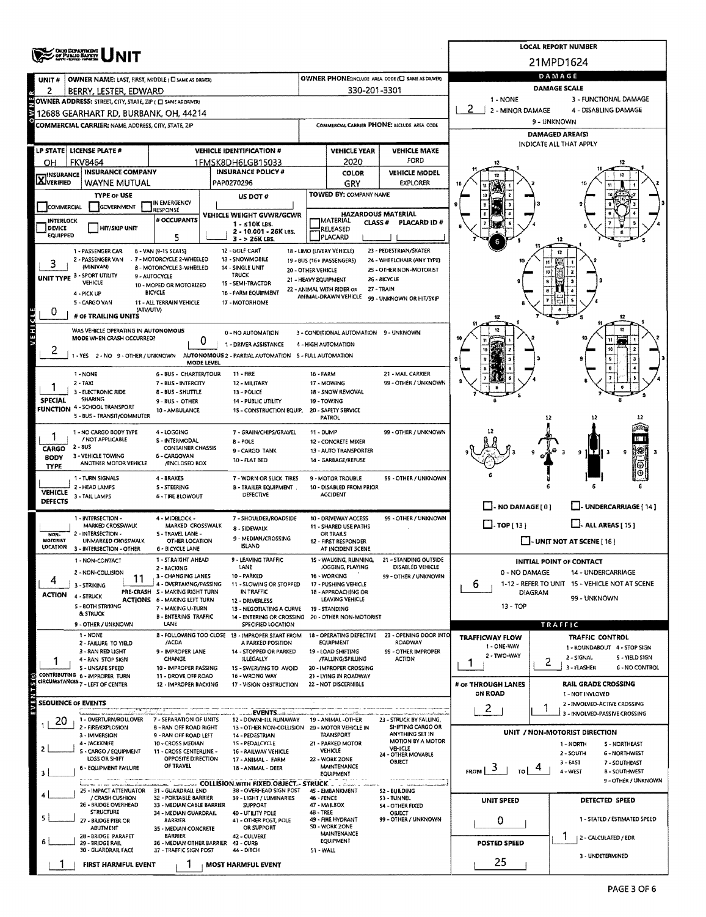|                                  | OHO DEPARTMENT<br>OF PUBLIC BAPETY                                                                    |                                                                        | <b>LOCAL REPORT NUMBER</b>                                              |                                                  |                                                                     |                                                    |                            |                                                                           |  |  |  |
|----------------------------------|-------------------------------------------------------------------------------------------------------|------------------------------------------------------------------------|-------------------------------------------------------------------------|--------------------------------------------------|---------------------------------------------------------------------|----------------------------------------------------|----------------------------|---------------------------------------------------------------------------|--|--|--|
|                                  |                                                                                                       |                                                                        |                                                                         | 21MPD1624                                        |                                                                     |                                                    |                            |                                                                           |  |  |  |
| UNIT#                            | OWNER NAME: LAST, FIRST, MIDDLE (CI SAME AS DRIVER)                                                   |                                                                        | OWNER PHONE2NCLUDE AREA CODE (C) SAME AS DRIVER!                        |                                                  | DAMAGE                                                              |                                                    |                            |                                                                           |  |  |  |
| 2                                | BERRY, LESTER, EDWARD                                                                                 |                                                                        |                                                                         |                                                  | 330-201-3301                                                        |                                                    | 1 - NONE                   | <b>DAMAGE SCALE</b><br>3 - FUNCTIONAL DAMAGE                              |  |  |  |
|                                  | OWNER ADDRESS: STREET, CITY, STATE, ZIP ( C) SAME AS DRIVER!<br>12688 GEARHART RD, BURBANK, OH, 44214 |                                                                        | 2 - MINOR DAMAGE                                                        | 4 - DISABLING DAMAGE                             |                                                                     |                                                    |                            |                                                                           |  |  |  |
|                                  | COMMERCIAL CARRIER: NAME, ADDRESS, CITY, STATE, ZIP                                                   |                                                                        | COMMERCIAL CARRIER PHONE: INCLUDE AREA CODE                             | 9 - UNKNOWN                                      |                                                                     |                                                    |                            |                                                                           |  |  |  |
|                                  |                                                                                                       |                                                                        | DAMAGED AREA(S)                                                         |                                                  |                                                                     |                                                    |                            |                                                                           |  |  |  |
|                                  | LP STATE   LICENSE PLATE #                                                                            |                                                                        | <b>VEHICLE IDENTIFICATION #</b>                                         |                                                  | <b>VEHICLE YEAR</b>                                                 | <b>VEHICLE MAKE</b>                                |                            | INDICATE ALL THAT APPLY                                                   |  |  |  |
| он                               | <b>FKV8464</b>                                                                                        |                                                                        | 1FMSK8DH6LGB15033                                                       |                                                  | 2020                                                                | FORD                                               |                            |                                                                           |  |  |  |
| <b>X</b> <sup>INSURANCE</sup>    | <b>INSURANCE COMPANY</b><br><b>WAYNE MUTUAL</b>                                                       |                                                                        | <b>INSURANCE POLICY #</b><br>PAP0270296                                 | <b>VEHICLE MODEL</b><br><b>COLOR</b>             |                                                                     |                                                    |                            |                                                                           |  |  |  |
|                                  | <b>TYPE OF USE</b>                                                                                    |                                                                        | US DOT #                                                                | GRY<br><b>EXPLORER</b><br>TOWED BY: COMPANY NAME |                                                                     |                                                    |                            |                                                                           |  |  |  |
| COMMERCIAL                       | GOVERNMENT                                                                                            | IN EMERGENCY<br>RESPONSE                                               |                                                                         |                                                  |                                                                     |                                                    |                            |                                                                           |  |  |  |
| INTERLOCK                        |                                                                                                       | # OCCUPANTS                                                            | <b>VEHICLE WEIGHT GVWR/GCWR</b><br>$1 - s10K$ LBs.                      |                                                  | <b>HAZARDOUS MATERIAL</b><br><b>IMATERIAL</b><br>CLASS <sup>#</sup> | PLACARD ID#                                        |                            |                                                                           |  |  |  |
| DEVICE<br>EQUIPPED               | HIT/SKIP UNIT                                                                                         | 5                                                                      | 2 - 10.001 - 26K LBS.                                                   |                                                  | RELEASED<br>PLACARD                                                 |                                                    |                            |                                                                           |  |  |  |
|                                  | 1 - PASSENGER CAR                                                                                     | 6 - VAN (9-15 SEATS)                                                   | $3 - 26K$ LBS.<br>12 - GOLF CART                                        |                                                  | 18 - LIMO (LIVERY VEHICLE)                                          | 23 - PEDESTRIAN/SKATER                             |                            | 12                                                                        |  |  |  |
|                                  | 2 - PASSENGER VAN                                                                                     | - 7 - MOTORCYCLE 2-WHEELED                                             | 13 - SNOWMOBILE                                                         |                                                  | 19 - BUS (16+ PASSENGERS)                                           | 24 - WHEELCHAIR (ANY TYPE)                         |                            |                                                                           |  |  |  |
|                                  | (MINIVAN)<br>UNIT TYPE 3 - SPORT UTILITY                                                              | 8 - MOTORCYCLE 3-WHEELED<br>9 - AUTOCYCLE                              | 14 - SINGLE UNIT<br><b>TRUCK</b>                                        | 20 - OTHER VEHICLE                               | 21 - HEAVY EQUIPMENT                                                | 25 - OTHER NON-MOTORIST<br>26 - BICYCLE            |                            |                                                                           |  |  |  |
|                                  | VEHICLE<br>4 - PICK UP                                                                                | 10 - MOPED OR MOTORIZED<br><b>BICYCLE</b>                              | 15 - SEMI-TRACTOR<br>16 - FARM EQUIPMENT                                |                                                  | 22 - ANIMAL WITH RIDER OR                                           | 27 - TRAIN                                         |                            |                                                                           |  |  |  |
|                                  | 5 - CARGO VAN                                                                                         | 11 - ALL TERRAIN VEHICLE                                               | 17 - MOTORHOME                                                          |                                                  | ANIMAL-DRAWN VEHICLE                                                | 99 - UNKNOWN OR HIT/SKIP                           |                            |                                                                           |  |  |  |
| 0                                | (ATV/UTV)<br># OF TRAILING UNITS                                                                      |                                                                        |                                                                         |                                                  |                                                                     |                                                    |                            |                                                                           |  |  |  |
| <b>A SHISTE</b>                  | WAS VEHICLE OPERATING IN AUTONOMOUS                                                                   |                                                                        | 0 - NO AUTOMATION                                                       |                                                  | 3 - CONDITIONAL AUTOMATION 9 - UNKNOWN                              |                                                    |                            |                                                                           |  |  |  |
|                                  | MODE WHEN CRASH OCCURRED?                                                                             | 0                                                                      | 1 - DRIVER ASSISTANCE                                                   |                                                  | 4 - HIGH AUTOMATION                                                 |                                                    |                            |                                                                           |  |  |  |
| ۷                                | 1 - YES 2 - NO 9 - OTHER / UNKNOWN                                                                    | <b>MODE LEVEL</b>                                                      | AUTONOMOUS 2 - PARTIAL AUTOMATION S - FULL AUTOMATION                   |                                                  |                                                                     |                                                    |                            |                                                                           |  |  |  |
|                                  | 1 - NONE                                                                                              | 6 - BUS - CHARTER/TOUR                                                 | 11 - FIRE                                                               | 16 - FARM                                        |                                                                     | 21 - MAIL CARRIER                                  |                            |                                                                           |  |  |  |
|                                  | $2 - TAXI$                                                                                            | 7 - BUS - INTERCITY                                                    | 12 - MILITARY                                                           |                                                  | 17 - MOWING                                                         | 99 - OTHER / UNKNOWN                               |                            |                                                                           |  |  |  |
| <b>SPECIAL</b>                   | 3 - ELECTRONIC RIDE<br><b>SHARING</b>                                                                 | 8 - BUS - SHUTTLE<br>9 - BUS - OTHER                                   | 13 - POLICE<br>14 - PUBLIC UTILITY                                      |                                                  | 18 - SNOW REMOVAL<br>19 - TOWING                                    |                                                    |                            |                                                                           |  |  |  |
|                                  | <b>FUNCTION 4 - SCHOOL TRANSPORT</b><br>5 - BUS - TRANSIT/COMMUTER                                    | 10 - AMBULANCE                                                         | 15 - CONSTRUCTION EQUIP.                                                |                                                  | 20 - SAFETY SERVICE                                                 |                                                    |                            |                                                                           |  |  |  |
|                                  |                                                                                                       |                                                                        |                                                                         |                                                  | PATROL                                                              |                                                    |                            | 12                                                                        |  |  |  |
|                                  | 1 - NO CARGO BODY TYPE<br>/ NOT APPLICABLE                                                            | 4 - LOGGING<br><b>S - INTERMODAL</b>                                   | 7 - GRAIN/CHIPS/GRAVEL<br>B-POLE                                        | 11 - DUMP                                        | 12 - CONCRETE MIXER                                                 | 99 - OTHER / UNKNOWN                               |                            |                                                                           |  |  |  |
| CARGO<br><b>BODY</b>             | $2 - BUS$<br>3 - VEHICLE TOWING                                                                       | <b>CONTAINER CHASSIS</b><br><b>6 - CARGOVAN</b>                        | 9 - CARGO TANK                                                          |                                                  | 13 - AUTO TRANSPORTER                                               |                                                    |                            | 9<br>9                                                                    |  |  |  |
| <b>TYPE</b>                      | ANOTHER MOTOR VEHICLE                                                                                 | /ENCLOSED BOX                                                          | 10 - FLAT BED                                                           |                                                  | 14 - GARBAGE/REFUSE                                                 |                                                    |                            | ⊛                                                                         |  |  |  |
|                                  | 1 - TURN SIGNALS<br>2 - HEAD LAMPS                                                                    | 4 - BRAKES<br>5 - STEERING                                             | 7 - WORN OR SLICK TIRES<br><b>B - TRAILER EQUIPMENT</b>                 |                                                  | 9 - MOTOR TROUBLE<br>10 - DISABLED FROM PRIOR                       | 99 - OTHER / UNKNOWN                               |                            |                                                                           |  |  |  |
| <b>VEHICLE</b><br><b>DEFECTS</b> | 3 - TAIL LAMPS                                                                                        | <b>6 - TIRE BLOWOUT</b>                                                | DEFECTIVE                                                               |                                                  | <b>ACCIDENT</b>                                                     |                                                    |                            |                                                                           |  |  |  |
|                                  |                                                                                                       |                                                                        |                                                                         |                                                  |                                                                     |                                                    | $\Box$ - NO DAMAGE [ 0 ]   | UNDERCARRIAGE [14]                                                        |  |  |  |
|                                  | 1 - INTERSECTION -<br>MARKED CROSSWALK                                                                | 4 - MIDBLOCK -<br>MARKED CROSSWALK                                     | 7 - SHOULDER/ROADSIDE<br>8 - SIDEWALK                                   |                                                  | 10 - DRIVEWAY ACCESS<br>11 - SHARED USE PATHS                       | 99 - OTHER / UNKNOWN                               | $\Box$ -TOP [13]           | $L$ - ALL AREAS [ 15 ]                                                    |  |  |  |
| NON-<br>MOTORIST                 | 2 - INTERSECTION -<br><b>UNMARKED CROSSWALK</b>                                                       | S - TRAVEL LANE -<br>OTHER LOCATION                                    | 9 - MEDIAN/CROSSING                                                     | OR TRAILS<br>12 - FIRST RESPONDER                |                                                                     |                                                    |                            | $\Box$ - UNIT NOT AT SCENE [16]                                           |  |  |  |
| <b>LOCATION</b>                  | 3 - INTERSECTION - OTHER                                                                              | <b>6 - BICYCLE LANE</b>                                                | <b>ISLAND</b>                                                           |                                                  | AT INCIDENT SCENE                                                   |                                                    |                            |                                                                           |  |  |  |
|                                  | 1 - NON-CONTACT<br>2 - NON-COLLISION                                                                  | 1 - STRAIGHT AHEAD<br>2 - BACKING                                      | 9 - LEAVING TRAFFIC<br>LANE                                             |                                                  | 15 - WALKING, RUNNING,<br>JOGGING, PLAYING                          | 21 - STANDING OUTSIDE<br>DISABLED VEHICLE          | 0 - NO DAMAGE              | <b>INITIAL POINT OF CONTACT</b><br>14 - UNDERCARRIAGE                     |  |  |  |
| 4                                | 11<br>3 - STRIKING                                                                                    | 3 - CHANGING LANES<br>4 - OVERTAKING/PASSING                           | 10 - PARKED<br>11 - SLOWING OR STOPPED                                  |                                                  | 16 - WORKING<br>17 - PUSHING VEHICLE                                | 99 - OTHER / UNKNOWN                               | 6                          | 1-12 - REFER TO UNIT 15 - VEHICLE NOT AT SCENE                            |  |  |  |
| <b>ACTION</b>                    | 4 - STRUCK                                                                                            | PRE-CRASH S - MAKING RIGHT TURN<br><b>ACTIONS 6 - MAKING LEFT TURN</b> | IN TRAFFIC                                                              |                                                  | 18 - APPROACHING OR<br>LEAVING VEHICLE                              |                                                    | <b>DIAGRAM</b>             | 99 - UNKNOWN                                                              |  |  |  |
|                                  | <b>5 - BOTH STRIKING</b><br>& STRUCK                                                                  | 7 - MAKING U-TURN                                                      | 12 - DRIVERLESS<br>13 - NEGOTIATING A CURVE 19 - STANDING               |                                                  |                                                                     |                                                    | 13 - TOP                   |                                                                           |  |  |  |
|                                  | 9 - OTHER / UNKNOWN                                                                                   | <b>B-ENTERING TRAFFIC</b><br>LANE                                      | 14 - ENTERING OR CROSSING 20 - OTHER NON-MOTORIST<br>SPECIFIED LOCATION |                                                  |                                                                     |                                                    |                            | TRAFFIC                                                                   |  |  |  |
|                                  | 1 - NONE                                                                                              | /ACDA                                                                  | 8 - FOLLOWING TOO CLOSE 13 - IMPROPER START FROM                        |                                                  | 18 - OPERATING DEFECTIVE<br><b>EQUIPMENT</b>                        | 23 - OPENING DOOR INTO<br>ROADWAY                  | <b>TRAFFICWAY FLOW</b>     | TRAFFIC CONTROL                                                           |  |  |  |
|                                  | 2 - FAILURE TO YIELD<br>3 - RAN RED LIGHT                                                             | 9 - IMPROPER LANE                                                      | A PARKED POSITION<br>14 - STOPPED OR PARKED                             |                                                  | 19 - LOAD SHIFTING                                                  | 99 - OTHER IMPROPER                                | 1 - ONE-WAY<br>2 - TWO-WAY | 1 - ROUNDABOUT 4 - STOP SIGN                                              |  |  |  |
|                                  | 4 - RAN STOP SIGN<br>5 - UNSAFE SPEED                                                                 | CHANGE<br>10 - IMPROPER PASSING                                        | ILLEGALLY<br>1S - SWERVING TO AVOID                                     |                                                  | /FALLING/SPILLING<br>20 - IMPROPER CROSSING                         | <b>ACTION</b>                                      | 1                          | 2 - SIGNAL<br>S - YIELD SIGN<br>2<br>3 - FLASHER<br><b>6 - NO CONTROL</b> |  |  |  |
|                                  | CONTRIBUTING 6 - IMPROPER TURN<br>CIRCUMSTANCES 7 - LEFT OF CENTER                                    | 11 - DROVE OFF ROAD<br>12 - IMPROPER BACKING                           | 16 - WRONG WAY<br>17 - VISION OBSTRUCTION                               |                                                  | 21 - LYING IN ROADWAY<br>22 - NOT DISCERNIBLE                       |                                                    | # OF THROUGH LANES         | RAIL GRADE CROSSING                                                       |  |  |  |
| EVENTS(S)                        |                                                                                                       |                                                                        |                                                                         |                                                  |                                                                     |                                                    | ON ROAD                    | 1 - NOT INVLOVED                                                          |  |  |  |
|                                  | <b>SEQUENCE OF EVENTS</b>                                                                             |                                                                        |                                                                         |                                                  |                                                                     |                                                    | 2                          | 2 - INVOLVED-ACTIVE CROSSING<br>1<br>3 - INVOLVED-PASSIVE CROSSING        |  |  |  |
| 20                               | 1 - OVERTURN/ROLLOVER<br>2 - FIRE/EXPLOSION                                                           | 7 - SEPARATION OF UNITS                                                | 12 - DOWNHILL RUNAWAY                                                   |                                                  | 19 - ANIMAL -OTHER                                                  | 23 - STRUCK BY FALLING,<br>SHIFTING CARGO OR       |                            |                                                                           |  |  |  |
|                                  | 3 - IMMERSION                                                                                         | <b>8 - RAN OFF ROAD RIGHT</b><br>9 - RAN OFF ROAD LEFT                 | 13 - OTHER NON-COLLISION 20 - MOTOR VEHICLE IN<br>14 - PEDESTRIAN       |                                                  | <b>TRANSPORT</b>                                                    | ANYTHING SET IN                                    |                            | UNIT / NON-MOTORIST DIRECTION                                             |  |  |  |
| 2                                | 4 - JACKKNIFE<br>S - CARGO / EQUIPMENT                                                                | 10 - CROSS MEDIAN<br>11 - CROSS CENTERLINE -                           | 15 - PEDALCYCLE<br>16 - RAILWAY VEHICLE                                 |                                                  | 21 - PARKED MOTOR<br><b>VEHICLE</b>                                 | MOTION BY A MOTOR<br>VEHICLE<br>24 - OTHER MOVABLE |                            | 1 - NORTH<br>5 - NORTHEAST<br>2 - SOUTH<br><b>G-NORTHWEST</b>             |  |  |  |
|                                  | LOSS OR SHIFT<br>6 - EQUIPMENT FAILURE                                                                | OPPOSITE DIRECTION<br>OF TRAVEL                                        | 17 - ANIMAL - FARM<br>18 - ANIMAL - DEER                                |                                                  | 22 - WORK ZONE<br><b>MAINTENANCE</b>                                | OBJECT                                             | 3                          | $3 - EAST$<br>7 - SOUTHEAST                                               |  |  |  |
| з                                |                                                                                                       |                                                                        |                                                                         |                                                  | EQUIPMENT                                                           |                                                    | FROM<br>т٥                 | 4 - WEST<br><b>8 - SOUTHWEST</b><br>9 - OTHER / UNKNOWN                   |  |  |  |
|                                  | 25 - IMPACT ATTENUATOR                                                                                | 31 - GUARDRAIL END                                                     | COLLISION WITH FIXED OBJECT. - STRUCK<br>38 - OVERHEAD SIGN POST        |                                                  | 45 - EMBANKMENT                                                     | 52 - BUILDING                                      |                            |                                                                           |  |  |  |
|                                  | / CRASH CUSHION<br>26 - BRIDGE OVERHEAD                                                               | 32 - PORTABLE BARRIER<br>33 - MEDIAN CABLE BARRIER                     | 39 - LIGHT / LUMINARIES<br><b>SUPPORT</b>                               | 46 - FENCE                                       | 47 - MAILBOX                                                        | <b>S3 - TUNNEL</b><br>54 - OTHER FIXED             | UNIT SPEED                 | DETECTED SPEED                                                            |  |  |  |
|                                  | <b>STRUCTURE</b><br>27 - BRIDGE PIER OR                                                               | 34 - MEDIAN GUARDRAIL<br><b>BARRIER</b>                                | 40 - UTILITY POLE<br>41 - OTHER POST, POLE                              | 48 - TREE                                        | 49 - FIRE HYDRANT                                                   | OBJECT<br>99 - OTHER / UNKNOWN                     | 0                          | 1 - STATED / ESTIMATED SPEED                                              |  |  |  |
|                                  | <b>ABUTMENT</b><br>28 - BRIDGE PARAPET                                                                | 35 - MEDIAN CONCRETE<br><b>BARRIER</b>                                 | OR SUPPORT<br>42 - CULVERT                                              |                                                  | <b>SO - WORK ZONE</b><br>MAINTENANCE                                |                                                    |                            | T                                                                         |  |  |  |
|                                  | 29 - BRIDGE RAIL<br>30 - GUARDRAIL FACE                                                               | 36 - MEDIAN OTHER BARRIER 43 - CURB<br>37 - TRAFFIC SIGN POST          | 44 - DITCH                                                              | 51 - WALL                                        | EQUIPMENT                                                           |                                                    | <b>POSTED SPEED</b>        | 2 - CALCULATED / EDR                                                      |  |  |  |
|                                  | <b>FIRST HARMFUL EVENT</b>                                                                            |                                                                        | <b>MOST HARMFUL EVENT</b>                                               |                                                  |                                                                     |                                                    | 25                         | 3 - UNDETERMINED                                                          |  |  |  |
|                                  |                                                                                                       |                                                                        |                                                                         |                                                  |                                                                     |                                                    |                            |                                                                           |  |  |  |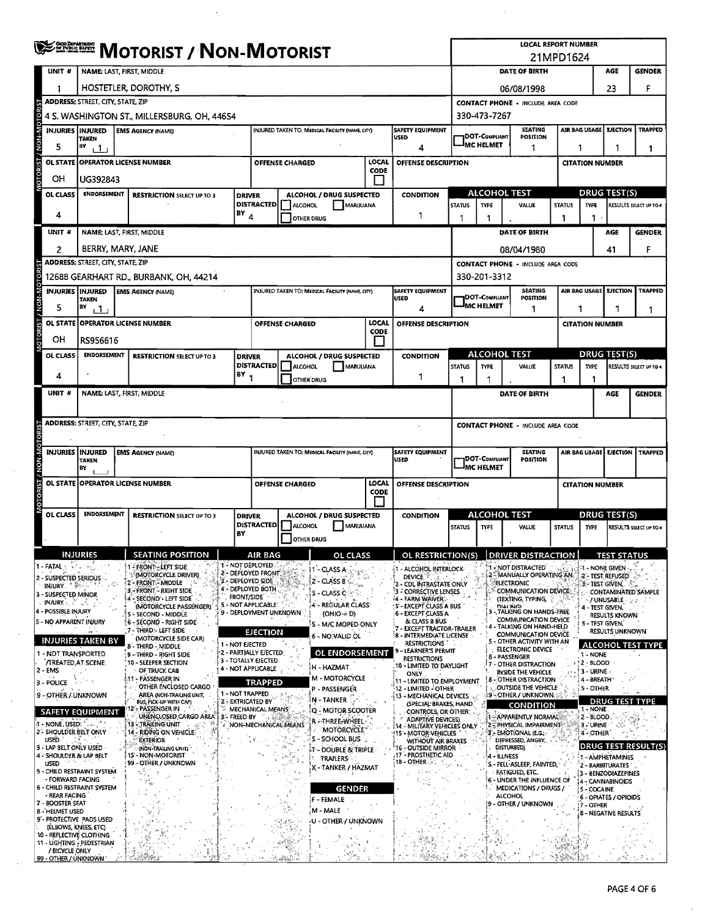|                                                       | <b>WE SHOW MOTORIST / NON-MOTORIST</b>                                                                                                  |                                                                    |                   |                                           |                           |                                                 |                             |                                                                         |                                                                                  |                                             | <b>LOCAL REPORT NUMBER</b><br>21MPD1624                                      |               |                                                                               |                        |                            |  |  |
|-------------------------------------------------------|-----------------------------------------------------------------------------------------------------------------------------------------|--------------------------------------------------------------------|-------------------|-------------------------------------------|---------------------------|-------------------------------------------------|-----------------------------|-------------------------------------------------------------------------|----------------------------------------------------------------------------------|---------------------------------------------|------------------------------------------------------------------------------|---------------|-------------------------------------------------------------------------------|------------------------|----------------------------|--|--|
| UNIT #                                                | <b>NAME: LAST, FIRST, MIDDLE</b>                                                                                                        |                                                                    |                   |                                           |                           |                                                 |                             |                                                                         |                                                                                  |                                             | DATE OF BIRTH                                                                |               |                                                                               | AGE                    | <b>GENDER</b>              |  |  |
| 1                                                     | HOSTETLER, DOROTHY, S                                                                                                                   |                                                                    |                   |                                           | 06/08/1998                |                                                 |                             | 23                                                                      | F                                                                                |                                             |                                                                              |               |                                                                               |                        |                            |  |  |
|                                                       | <b>ADDRESS: STREET, CITY, STATE, ZIP</b>                                                                                                |                                                                    |                   |                                           |                           |                                                 |                             |                                                                         |                                                                                  | <b>CONTACT PHONE - INCLUDE AREA CODE</b>    |                                                                              |               |                                                                               |                        |                            |  |  |
|                                                       | 4 S, WASHINGTON ST., MILLERSBURG, OH, 44654                                                                                             |                                                                    |                   |                                           |                           |                                                 |                             |                                                                         |                                                                                  | 330-473-7267                                |                                                                              |               |                                                                               |                        |                            |  |  |
| <b>INJURIES INJURED</b>                               | <b>TAKEN</b>                                                                                                                            | <b>EMS AGENCY (NAME)</b>                                           |                   |                                           |                           | INJURED TAKEN TO: MEDICAL FACILITY (NAME, CITY) |                             | SAFETY EQUIPMENT<br><b>USED</b>                                         |                                                                                  | DOT-Compliant<br><sup>J</sup> MC HELMET     | <b>SEATING</b><br>POSITION                                                   | AIR BAG USAGE |                                                                               | EJECTION               | <b>TRAPPED</b>             |  |  |
| 5                                                     | BΥ<br>11.                                                                                                                               |                                                                    |                   |                                           |                           |                                                 |                             | 4                                                                       |                                                                                  |                                             | 1                                                                            |               | 1<br>-1<br>1                                                                  |                        |                            |  |  |
| <b>ISTORIST / NON-MOTORIST</b><br><b>OL STATE</b>     |                                                                                                                                         | <b>OPERATOR LICENSE NUMBER</b>                                     |                   |                                           | <b>OFFENSE CHARGED</b>    |                                                 | <b>LOCAL</b><br><b>CODE</b> | OFFENSE DESCRIPTION                                                     |                                                                                  |                                             |                                                                              |               | <b>CITATION NUMBER</b>                                                        |                        |                            |  |  |
| OH<br>OL CLASS                                        | UG392843<br>ENDORSEMENT                                                                                                                 |                                                                    |                   |                                           |                           |                                                 |                             |                                                                         |                                                                                  |                                             | <b>ALCOHOL TEST</b>                                                          |               | DRUG TEST(S)                                                                  |                        |                            |  |  |
|                                                       |                                                                                                                                         | <b>RESTRICTION SELECT UP TO 3</b>                                  | <b>DRIVER</b>     | <b>DISTRACTED</b>                         | <b>ALCOHOL</b>            | ALCOHOL / DRUG SUSPECTED                        | MARUUANA                    | <b>CONDITION</b>                                                        | <b>STATUS</b>                                                                    | TYPE                                        | VALUE                                                                        | <b>STATUS</b> | <b>TYPE</b>                                                                   |                        | RESULTS SELECT UP TO 4     |  |  |
| 4                                                     |                                                                                                                                         |                                                                    | $18Y_4$           |                                           |                           | OTHER DRUG                                      |                             | 1                                                                       |                                                                                  | 1                                           |                                                                              | 1             | 1                                                                             |                        |                            |  |  |
| UNIT #                                                |                                                                                                                                         | NAME: LAST, FIRST, MIDDLE                                          |                   |                                           |                           |                                                 |                             |                                                                         |                                                                                  |                                             | DATE OF BIRTH                                                                |               |                                                                               | AGE                    | <b>GENDER</b>              |  |  |
| 2                                                     |                                                                                                                                         | BERRY, MARY, JANE                                                  |                   |                                           |                           |                                                 |                             |                                                                         |                                                                                  |                                             | 08/04/1980                                                                   |               |                                                                               | 41                     | F                          |  |  |
|                                                       | ADDRESS: STREET, CITY, STATE, ZIP                                                                                                       |                                                                    |                   |                                           |                           |                                                 |                             |                                                                         |                                                                                  | 330-201-3312                                | <b>CONTACT PHONE - INCLUDE AREA CODE</b>                                     |               |                                                                               |                        |                            |  |  |
|                                                       | <b>INJURIES INJURED</b>                                                                                                                 | 12688 GEARHART RD., BURBANK, OH, 44214<br><b>EMS AGENCY (NAME)</b> |                   |                                           |                           | INJURED TAKEN TO: MEDICAL FACILITY (NAME, CITY) |                             | <b>SAFETY EQUIPMENT</b>                                                 |                                                                                  |                                             | <b>SEATING</b>                                                               | AIR BAG USAGE |                                                                               | <b>EJECTION</b>        | <b>TRAPPED</b>             |  |  |
| / NON-MOTORIST<br>5                                   | <b>TAKEN</b><br><b>BY</b><br>11                                                                                                         |                                                                    |                   |                                           |                           |                                                 |                             | USED<br>4                                                               |                                                                                  | DOT-Compliant<br><b>MC HELMET</b>           | POSITION<br>1                                                                | 1             |                                                                               |                        | 1                          |  |  |
| <b>OL STATE</b>                                       |                                                                                                                                         | <b>OPERATOR LICENSE NUMBER</b>                                     |                   |                                           | OFFENSE CHARGED           |                                                 | LOCAL                       | OFFENSE DESCRIPTION                                                     |                                                                                  |                                             |                                                                              |               | <b>CITATION NUMBER</b>                                                        |                        |                            |  |  |
| <b>OTORIST</b><br>он                                  | RS956616                                                                                                                                |                                                                    |                   |                                           |                           |                                                 | <b>CODE</b>                 |                                                                         |                                                                                  |                                             |                                                                              |               |                                                                               |                        |                            |  |  |
| OL CLASS                                              | <b>ENDORSEMENT</b>                                                                                                                      | <b>RESTRICTION SELECT UP TO 3</b>                                  | <b>DRIVER</b>     |                                           |                           | ALCOHOL / DRUG SUSPECTED                        |                             | <b>CONDITION</b>                                                        |                                                                                  |                                             | ALCOHOL TEST                                                                 |               | <b>DRUG TEST(S)</b>                                                           |                        |                            |  |  |
|                                                       |                                                                                                                                         |                                                                    | IBY <sub>1</sub>  |                                           | <b>DISTRACTED ALCOHOL</b> |                                                 | MARUUANA                    |                                                                         | <b>STATUS</b>                                                                    | <b>TYPE</b>                                 | VALUE                                                                        | <b>STATUS</b> | <b>TYPE</b>                                                                   |                        | RESULTS SELECT UP TO 4     |  |  |
| 4                                                     |                                                                                                                                         |                                                                    |                   |                                           | OTHER DRUG                |                                                 |                             | 1                                                                       | 1                                                                                |                                             |                                                                              |               | 1                                                                             |                        |                            |  |  |
| UNIT#                                                 |                                                                                                                                         | NAME: LAST, FIRST, MIDDLE                                          |                   |                                           |                           |                                                 |                             |                                                                         |                                                                                  |                                             | DATE OF BIRTH                                                                |               |                                                                               | AGE                    | <b>GENDER</b>              |  |  |
|                                                       | ADDRESS: STREET, CITY, STATE, ZIP                                                                                                       |                                                                    |                   |                                           |                           |                                                 |                             |                                                                         | <b>CONTACT PHONE - INCLUDE AREA CODE</b>                                         |                                             |                                                                              |               |                                                                               |                        |                            |  |  |
|                                                       |                                                                                                                                         |                                                                    |                   |                                           |                           |                                                 |                             |                                                                         |                                                                                  |                                             |                                                                              |               |                                                                               |                        |                            |  |  |
|                                                       | <b>INJURIES INJURED</b>                                                                                                                 | <b>EMS AGENCY (NAME)</b>                                           |                   |                                           |                           | INJURED TAKEN TO: MEDICAL FACILITY (NAME, CITY) |                             | <b>SAFETY EQUIPMENT</b>                                                 | <b>SEATING</b><br>AIR BAG USAGE<br><b>EJECTION</b><br>1DOT-COMPLIANT<br>POSITION |                                             |                                                                              |               |                                                                               |                        | <b>TRAPPED</b>             |  |  |
|                                                       | TAKEN<br>BY                                                                                                                             |                                                                    |                   |                                           |                           |                                                 |                             | <b>USED</b>                                                             | JMC HELMET                                                                       |                                             |                                                                              |               |                                                                               |                        |                            |  |  |
|                                                       |                                                                                                                                         | OL STATE OPERATOR LICENSE NUMBER                                   |                   |                                           | <b>OFFENSE CHARGED</b>    |                                                 | LOCAL<br>CODE               | <b>OFFENSE DESCRIPTION</b>                                              |                                                                                  | <b>CITATION NUMBER</b>                      |                                                                              |               |                                                                               |                        |                            |  |  |
| MOTORIST / NON-MOTORIST                               |                                                                                                                                         |                                                                    |                   |                                           |                           |                                                 |                             |                                                                         |                                                                                  |                                             |                                                                              |               |                                                                               |                        |                            |  |  |
| OL CLASS                                              | <b>ENDORSEMENT</b>                                                                                                                      | <b>RESTRICTION SELECT UP TO 3</b>                                  | <b>DRIVER</b>     | <b>DISTRACTED</b>                         | <b>ALCOHOL</b>            | ALCOHOL / DRUG SUSPECTED                        | MARUUANA                    | <b>CONDITION</b>                                                        | <b>STATUS</b>                                                                    | <b>ALCOHOL TEST</b><br>VALUE<br><b>TYPE</b> |                                                                              |               | <b>DRUG TEST(S)</b><br><b>STATUS</b><br><b>TYPE</b><br>RESULTS SELECT UP TO 4 |                        |                            |  |  |
|                                                       |                                                                                                                                         |                                                                    | BY                |                                           | <b>OTHER DRUG</b>         |                                                 |                             |                                                                         |                                                                                  |                                             |                                                                              |               |                                                                               |                        |                            |  |  |
|                                                       | <b>INHIRIES</b>                                                                                                                         | <b>SEATING POSITION</b>                                            |                   | <b>AIR BAG</b>                            |                           | в                                               | OL CLACC                    | OL RESTRICTION(S)   DRIVER DISTRACTION                                  |                                                                                  |                                             |                                                                              |               |                                                                               | TECT CTATHE            |                            |  |  |
| 1 - FATAL :                                           |                                                                                                                                         | 1 - FRONT - LEFT SIDE<br>(MOTORCYCLE DRIVER)                       |                   | 1 - NOT DEPLOYED<br>2 - DEPLOYED FRONT    |                           | 1 - CLASS A                                     |                             | <b>SI - ALCOHOL INTERLOCK</b>                                           |                                                                                  |                                             | - NOT DISTRACTED<br>2 - MANUALLY OPERATING AN                                |               | 1 - NONE GIVEN<br>2 - TEST REFUSED                                            |                        |                            |  |  |
| 2 - SUSPECTED SERIOUS<br><b>INJURY</b>                |                                                                                                                                         | 2 - FRONT - MIDDLE<br>3 - FRONT - RIGHT SIDE                       |                   | 3 - DEPLOYED SIDE<br>4'- DEPLOYED BOTH    |                           | 2 - CLASS B<br>3 - CLASS C                      |                             | DEVICE <sup>9</sup><br>2 - CDL INTRASTATE ONLY<br>3 - CORRECTIVE LENSES |                                                                                  |                                             | <b>ELECTRONIC</b><br><b>COMMUNICATION DEVICE</b>                             |               | 3 - TEST GIVEN,                                                               |                        | CONTAMINATED SAMPLE        |  |  |
| 3 - SUSPECTED MINOR<br>. INJURY.                      |                                                                                                                                         | - SECOND - LEFT SIDE<br>(MOTORCYCLE PASSENGER)                     | <b>FRONT/SIDE</b> | 5.4 NOT APPLICABLE:                       |                           | 4 - REGULAR CLASS                               |                             | 14 - FARM WAIVER.<br>S' - EXCEPT CLASS A BUS                            |                                                                                  |                                             | (TEXTING, TYPING,<br><b>DIALING</b>                                          |               | - / UNUSABLE<br>4 - TEST GIVEN,                                               |                        |                            |  |  |
| 4 - POSSIBLE INJURY<br>5 - NO APPARENT INJURY         |                                                                                                                                         | S - SECOND - MIDDLE<br>6 - SECOND - RIGHT SIDE                     |                   | 9 - DEPLOYMENT UNKNOWN                    |                           | $(OHIO = D)$<br>5 - M/C MOPED ONLY              |                             | -6 - EXCEPT CLASS A<br>& CLASS B BUS                                    |                                                                                  |                                             | TALKING ON HANDS-FREE<br>COMMUNICATION DEVICE                                |               | <b>5 - TEST GIVEN,</b>                                                        | RESULTS KNOWN          |                            |  |  |
|                                                       | <b>INJURIES TAKEN BY</b>                                                                                                                | 7 - THIRD: - LEFT SIDE<br>(MOTORCYCLE SIDE CAR)                    |                   | <b>EJECTION</b>                           |                           | 6 - NO.VALID OL                                 |                             | <b>EXCEPT TRACTOR-TRAILER</b><br>8 - INTERMEDIATE LICENSE               |                                                                                  |                                             | 4 - TALKING ON HAND-HELD<br>COMMUNICATION DEVICE<br>- OTHER ACTIVITY WITH AN |               |                                                                               | <b>RESULTS UNKNOWN</b> |                            |  |  |
| NOT TRANSPORTED                                       |                                                                                                                                         | 8 - THIRD - MIDDLE<br>9 - THIRD - RIGHT SIDE                       | 1 - NOT EJECTED   | '2 - PARTIALLY EJECTED                    |                           | <b>OL ENDORSEMENT</b>                           |                             | <b>RESTRICTIONS</b><br>9 - LEARNER'S PERMIT<br><b>RESTRICTIONS</b>      |                                                                                  |                                             | ELECTRONIC DEVICE<br>6 - PASSENGER                                           |               | 1 - NONE                                                                      |                        | <b>ALCOHOL TEST TYPE</b>   |  |  |
| <b>/TREATED AT SCENE</b><br>2 - EMS                   |                                                                                                                                         | 10 - SLEEPER SECTION<br>OF TRUCK CAB                               |                   | 3 - TOTALLY EJECTED<br>4 - NOT APPLICABLE |                           | H - HAZMAT                                      |                             | 10 - LIMITED TO DAYLIGHT<br><b>ONLY</b>                                 |                                                                                  |                                             | <b>F7 - OTHER DISTRACTION</b><br><b>INSIDE THE VEHICLE</b>                   |               | 2 - BLOOD<br>3 - URINE                                                        |                        |                            |  |  |
| 3 - POLICE                                            |                                                                                                                                         | 511 - PASSENGER IN<br>OTHER ENCLOSED CARGO                         |                   | TRAPPED                                   |                           | <b>M - MOTORCYCLE</b><br>P - PASSENGER          |                             | 11 - LIMITED TO EMPLOYMENT<br>12 - LIMITED - OTHER                      |                                                                                  |                                             | <b>8 - OTHER DISTRACTION</b><br>OUTSIDE THE VEHICLE                          |               | 4-BREATH<br>5 - OTHER                                                         |                        |                            |  |  |
| 9 - OTHER / UNKNOWN                                   |                                                                                                                                         | AREA (NON-TRAILING UNIT,<br>BUS, PICK-UP WITH CAPI                 | 1 - NOT TRAPPED   | 2 - EXTRICATED BY                         |                           | N - TANKER                                      |                             | <b>13 - MECHANICAL DEVICES</b><br>(SPECIAL BRAKES, HAND                 |                                                                                  |                                             | \$9 ~ OTHER / UNKNOWN.<br><b>CONDITION</b>                                   |               |                                                                               |                        | <b>DRUG TEST TYPE</b>      |  |  |
|                                                       | <b>SAFETY EQUIPMENT</b>                                                                                                                 | - PASSENGER IN<br>UNENCLOSED CARGO AREA                            | 3 - FREED BY      | MECHANICAL MEANS                          |                           | Q - MOTOR SCOOTER<br>R - THREE-WHEEL -          |                             | CONTROLS, OR OTHER !<br>ADAPTIVE DEVICES)                               |                                                                                  |                                             | - APPARENTLY NORMAL                                                          |               | $1 - \text{NONE}$<br>2 - BLOOD                                                |                        |                            |  |  |
| USED.                                                 | $4 - \text{NONE}, \text{USED}: \dots$<br>13 - TRAILING UNIT<br>NON-MECHANICAL MEANS<br>2 - SHOULDER BELT ONLY<br>14 - RIDING ON VEHICLE |                                                                    |                   |                                           |                           | <b>MOTORCYCLE</b><br>S - SCHOOL BUS             |                             | {14 - MILITARY VEHICLES ONLY<br>15 - MOTOR VEHICLES                     |                                                                                  |                                             | <b>2 SPHYSICAL IMPAIRMENT</b><br>3 - EMOTIONAL (E.G.:-<br>DEPRESSED, ANGRY,  |               | 3 FURINE<br>4-OTHER                                                           |                        |                            |  |  |
| 4 - SHOULDER & LAP BELT                               | EXTERIOR<br>3 - LAP BELT ONLY USED<br>(NON-TRAILING UNIT)<br>1S - NON-MOTORIST                                                          |                                                                    |                   |                                           |                           | T - DOUBLE & TRIPLE                             |                             | WITHOUT AIR BRAKES<br><b>16 - OUTSIDE MIRROR</b>                        |                                                                                  |                                             | DISTURBED)                                                                   |               |                                                                               |                        | <b>DRUG TEST RESULT(S)</b> |  |  |
| <b>USED</b><br>5 - CHILD RESTRAINT SYSTEM             |                                                                                                                                         | 99 - OTHER / UNKNOWN                                               |                   |                                           |                           | <b>TRAILERS</b><br>X - TANKER / HAZMAT          |                             | .17 - PROSTHETIC AID-<br>: 18 - OTHER .                                 |                                                                                  |                                             | 4 - ILLNESS<br>S - FELL ASLEEP, FAINTED,                                     |               | 1 - AMPHETAMINES<br>2 - BARBITURATES                                          |                        |                            |  |  |
| - FORWARD FACING<br><b>6 - CHILD RESTRAINT SYSTEM</b> |                                                                                                                                         |                                                                    |                   |                                           |                           |                                                 |                             |                                                                         |                                                                                  |                                             | FATIGUED, ETC.<br><b>6 - UNDER THE INFLUENCE OF</b><br>MEDICATIONS / DRUGS / |               | ុំ3 - 8ENZODIAZEPINES<br>4 - CANNABINOIDS                                     |                        |                            |  |  |
| - REAR FACING<br>7 - BOOSTER SEAT                     |                                                                                                                                         |                                                                    |                   |                                           |                           | F - FEMALE                                      | <b>GENDER</b>               |                                                                         |                                                                                  |                                             | <b>ALCOHOL</b><br>- OTHER / UNKNOWN                                          |               | 5 - COCAINE<br>6 - OPIATES / OPIOIDS                                          |                        |                            |  |  |
| 8 - HELMET USED<br>9'- PROTECTIVE PADS USED           |                                                                                                                                         |                                                                    |                   |                                           |                           | M - MALE<br>U - OTHER / UNKNOWN                 |                             |                                                                         |                                                                                  |                                             |                                                                              |               | :7 – OTHER<br>8 - NEGATIVE RESULTS                                            |                        |                            |  |  |
| (ELBOWS, KNEES, ETC)<br>10 - REFLECTIVE CLOTHING      |                                                                                                                                         |                                                                    |                   |                                           |                           |                                                 |                             |                                                                         |                                                                                  |                                             |                                                                              |               |                                                                               |                        |                            |  |  |
| 11 - LIGHTING - PEDESTRIAN<br>/ BICYCLE ONLY          |                                                                                                                                         |                                                                    |                   |                                           |                           |                                                 |                             |                                                                         |                                                                                  |                                             |                                                                              |               |                                                                               |                        |                            |  |  |
| 99 - OTHER / UNKNOWN                                  |                                                                                                                                         |                                                                    |                   |                                           |                           |                                                 |                             |                                                                         |                                                                                  |                                             |                                                                              |               |                                                                               |                        |                            |  |  |

 $\bar{\beta}$ 

 $\hat{\mathcal{E}}$ 

 $\hat{\mathcal{A}}$ 

 $\sim$   $\sim$ 

J.

 $\mathcal{F}_{\text{max}}$ 

 $\overline{\phantom{a}}$ 

 $\mathcal{L}$ 

 $\sim$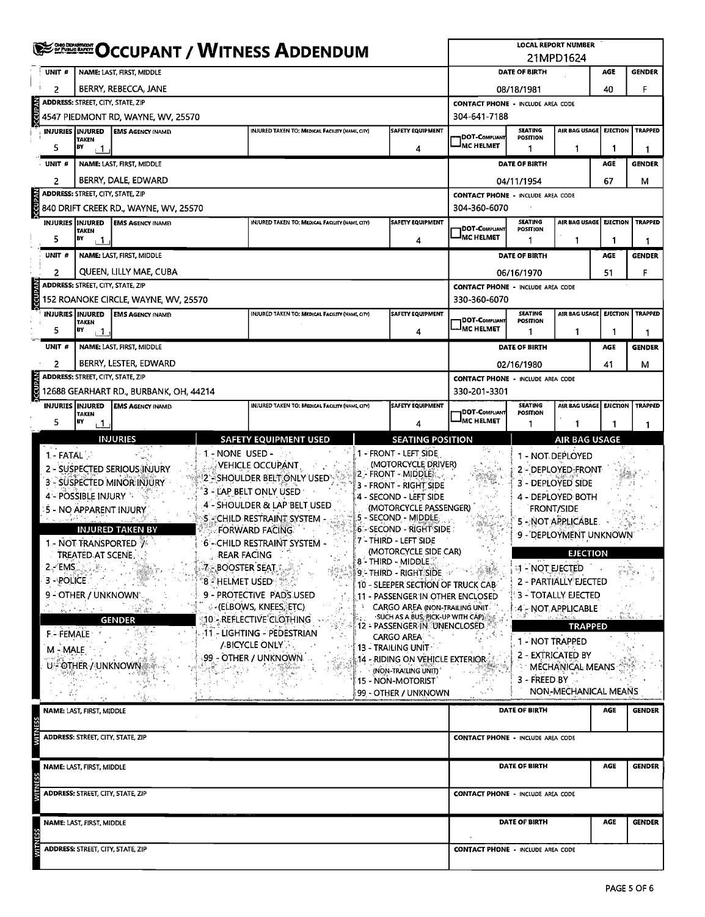|                           |                                                                                                                                  | <b>WITH ALSO AND ASSESS ARE ALCOHOLY AND EXAMPLE</b> | <b>LOCAL REPORT NUMBER</b><br>21MPD1624 |                                                            |                                                                           |                                                          |                                   |                                        |                        |                                   |  |  |
|---------------------------|----------------------------------------------------------------------------------------------------------------------------------|------------------------------------------------------|-----------------------------------------|------------------------------------------------------------|---------------------------------------------------------------------------|----------------------------------------------------------|-----------------------------------|----------------------------------------|------------------------|-----------------------------------|--|--|
| UNIT <sup>#</sup>         |                                                                                                                                  | NAME: LAST, FIRST, MIDDLE                            |                                         |                                                            | DATE OF BIRTH                                                             |                                                          | AGE                               | <b>GENDER</b>                          |                        |                                   |  |  |
| 2                         |                                                                                                                                  | BERRY, REBECCA, JANE                                 |                                         |                                                            |                                                                           |                                                          | 08/18/1981                        |                                        | 40                     | F                                 |  |  |
| CCUPAN                    | <b>ADDRESS: STREET, CITY, STATE, ZIP</b>                                                                                         |                                                      |                                         | <b>CONTACT PHONE - INCLUDE AREA CODE</b>                   |                                                                           |                                                          |                                   |                                        |                        |                                   |  |  |
|                           |                                                                                                                                  | 4547 PIEDMONT RD, WAYNE, WV, 25570                   |                                         |                                                            | 304-641-7188                                                              |                                                          |                                   |                                        |                        |                                   |  |  |
| <b>INJURIES   INJURED</b> | <b>TAKEN</b>                                                                                                                     | <b>EMS AGENCY (NAME)</b>                             |                                         | <b>INJURED TAKEN TO: MEDICAL FACILITY (NAME, CITY)</b>     | <b>SAFETY EQUIPMENT</b>                                                   | DOT-COMPLIANT<br><b>MC HELMET</b>                        | <b>SEATING</b><br><b>POSITION</b> | AIR BAG USAGE                          | <b>EJECTION</b>        | <b>TRAPPED</b>                    |  |  |
| 5                         | BY<br>⊢ 1                                                                                                                        |                                                      |                                         |                                                            | 4                                                                         |                                                          | 1                                 | 1                                      | $\mathbf{1}$           | 1                                 |  |  |
| UNIT <sup>#</sup>         |                                                                                                                                  | NAME: LAST, FIRST, MIDDLE                            |                                         |                                                            |                                                                           |                                                          | DATE OF BIRTH                     |                                        | AGE                    | <b>GENDER</b>                     |  |  |
| 2                         | ADDRESS: STREET, CITY, STATE, ZIP                                                                                                | BERRY, DALE, EDWARD                                  |                                         |                                                            |                                                                           |                                                          | 04/11/1954                        |                                        | 67                     | м                                 |  |  |
|                           |                                                                                                                                  | 840 DRIFT CREEK RD., WAYNE, WV, 25570                |                                         | <b>CONTACT PHONE - INCLUDE AREA CODE</b><br>304-360-6070   |                                                                           |                                                          |                                   |                                        |                        |                                   |  |  |
|                           | <b>INJURIES INJURED</b><br>INJURED TAKEN TO: MEDICAL FACILITY (NAME CITY)<br><b>SAFETY EQUIPMENT</b><br><b>EMS AGENCY INAMEL</b> |                                                      |                                         |                                                            |                                                                           |                                                          | <b>SEATING</b><br>DOT-COMPLIANT   |                                        |                        | <b>EJECTION</b><br><b>TRAPPED</b> |  |  |
| 5                         | <b>TAKEN</b><br>BY<br>⊢1.                                                                                                        |                                                      |                                         |                                                            | 4                                                                         | <b>IMC HELMET</b>                                        | POSITION                          | 1                                      | 1                      |                                   |  |  |
| UNIT #                    |                                                                                                                                  | NAME: LAST, FIRST, MIDDLE                            |                                         |                                                            |                                                                           |                                                          | <b>DATE OF BIRTH</b>              |                                        | AGE                    | <b>GENDER</b>                     |  |  |
| 2                         |                                                                                                                                  | QUEEN, LILLY MAE, CUBA                               |                                         |                                                            |                                                                           |                                                          | 06/16/1970                        |                                        | 51                     | F                                 |  |  |
| <b>OCCUPAN</b>            | <b>ADDRESS: STREET, CITY, STATE, ZIP</b>                                                                                         |                                                      |                                         |                                                            |                                                                           | <b>CONTACT PHONE - INCLUDE AREA CODE</b>                 |                                   |                                        |                        |                                   |  |  |
|                           |                                                                                                                                  | 152 ROANOKE CIRCLE, WAYNE, WV, 25570                 |                                         |                                                            |                                                                           | 330-360-6070                                             | <b>SEATING</b>                    |                                        |                        |                                   |  |  |
| <b>INJURIES INJURED</b>   | <b>TAKEN</b>                                                                                                                     | <b>EMS AGENCY (NAME)</b>                             |                                         | INJURED TAKEN TO: MEDICAL FACILITY (NAME, CITY)            | <b>SAFETY EQUIPMENT</b>                                                   | 1DOT-Compliant                                           |                                   | AIR BAG USAGE   EJECTION               | <b>TRAPPED</b>         |                                   |  |  |
| 5                         | BY<br>⊢ 1                                                                                                                        |                                                      |                                         |                                                            | 4                                                                         | <b>IMC HELMET</b>                                        | 1                                 | 1                                      | 1                      |                                   |  |  |
| UNIT #                    |                                                                                                                                  | NAME: LAST, FIRST, MIDDLE                            |                                         |                                                            |                                                                           |                                                          | <b>DATE OF BIRTH</b>              |                                        | AGE                    | <b>GENDER</b>                     |  |  |
| 2                         | <b>ADDRESS: STREET, CITY, STATE, ZIP</b>                                                                                         | BERRY, LESTER, EDWARD                                |                                         |                                                            |                                                                           |                                                          | 02/16/1980                        |                                        | 41                     | м                                 |  |  |
| Vdanoo                    |                                                                                                                                  | 12688 GEARHART RD., BURBANK, OH, 44214               |                                         |                                                            |                                                                           | <b>CONTACT PHONE - INCLUDE AREA CODE</b><br>330-201-3301 |                                   |                                        |                        |                                   |  |  |
|                           | <b>INJURIES INJURED</b>                                                                                                          | <b>EMS AGENCY (NAME)</b>                             |                                         | INJURED TAKEN TO: MEDICAL FACILITY (NAME, CITY)            | <b>SAFETY EQUIPMENT</b>                                                   |                                                          | <b>SEATING</b>                    |                                        | AIR BAG USAGE EJECTION | <b>TRAPPED</b>                    |  |  |
| 5                         | <b>TAKEN</b><br>BY                                                                                                               |                                                      |                                         |                                                            | 4                                                                         | <b>DOT-COMPLIANT</b><br>IMC HELMET                       | POSITION<br>1                     |                                        |                        |                                   |  |  |
|                           |                                                                                                                                  | <b>INJURIES</b>                                      |                                         | <b>SAFETY EQUIPMENT USED</b>                               | <b>SEATING POSITION</b>                                                   |                                                          |                                   | <b>AIR BAG USAGE</b>                   |                        |                                   |  |  |
| $1 - FATAL$               |                                                                                                                                  |                                                      | 1 - NONE USED -                         |                                                            | 1 - Front - Left Side                                                     |                                                          |                                   | 1 - NOT DEPLOYED                       |                        |                                   |  |  |
|                           |                                                                                                                                  | 2 - SUSPECTED SERIOUS INJURY                         |                                         | VEHICLE OCCUPANT                                           | (MOTORCYCLE DRIVER)<br>2 - Front - Middler ,                              |                                                          |                                   | 2 - DEPLOYED-FRONT                     |                        |                                   |  |  |
|                           |                                                                                                                                  | 3 - SUSPECTED MINOR INJURY                           |                                         | 2'- SHOULDER BELT ONLY USED "<br>3 - L'AP BELT ONLY USED " | 3 - FRONT - RIGHT SIDE                                                    |                                                          |                                   | 3 - DEPLOYED SIDE<br>4 - DEPLOYED BOTH |                        |                                   |  |  |
|                           | 4 - POSSIBLE INJURY<br>5 - NO APPARENT INJURY                                                                                    |                                                      |                                         | 4 - SHOULDER & LAP BELT USED                               | 4 - SECOND - LEFT SIDE<br>(MOTORCYCLE PASSENGER)                          |                                                          |                                   |                                        |                        |                                   |  |  |
|                           |                                                                                                                                  |                                                      |                                         | 5 - CHILD RESTRAINT SYSTEM -                               | 5 - SECOND - MIDDLE                                                       | <b>FRONT/SIDE</b><br>5 - NOT APPLICABLE.                 |                                   |                                        |                        |                                   |  |  |
|                           |                                                                                                                                  | <b>INJURED TAKEN BY</b><br>1 - NOT TRANSPORTED %     |                                         | <b>FORWARD FACING</b><br>6 - CHILD RESTRAINT SYSTEM -      | 6 - SECOND - RIGHT SIDE :<br>7 - THIRD - LEFT SIDE                        |                                                          | 9 - DEPLOYMENT UNKNOWN            |                                        |                        |                                   |  |  |
|                           | TREATED AT SCENE.                                                                                                                |                                                      |                                         | REAR FACING                                                | (MOTORCYCLE SIDE CAR)                                                     |                                                          |                                   | <b>EJECTION</b>                        |                        |                                   |  |  |
| 2.-″EMS                   |                                                                                                                                  |                                                      |                                         | <b>-7 - BOOSTER SEAT LAR</b> 3                             | 8 - THIRD - MIDDLE<br>9 - THIRD - RIGHT SIDE - 6                          | <b>MENOT EJECTED</b>                                     |                                   |                                        |                        |                                   |  |  |
| 3 - POLICE                |                                                                                                                                  |                                                      |                                         | ိ8 - HELMET USED ႏွစ္လွ်င္                                 | 10 - SLEEPER SECTION OF TRUCK CAB                                         | 2 - PARTIALLY EJECTED                                    |                                   |                                        |                        |                                   |  |  |
|                           | 9 - OTHER / UNKNOWN                                                                                                              |                                                      |                                         | 9 - PROTECTIVE PADS USED<br>ं - (ELBOWS, KNEES, ETC)       | 11 - PASSENGER IN OTHER ENCLOSED<br><b>CARGO AREA (NON-TRAILING UNIT)</b> | 3 - TOTALLY EJECTED<br>4 - NOT APPLICABLE                |                                   |                                        |                        |                                   |  |  |
|                           |                                                                                                                                  | GENDER                                               |                                         | 10 - REFLECTIVE CLOTHING                                   | SUCH AS A BUS, PICK-UP WITH CAP)                                          | <b>TRAPPED</b>                                           |                                   |                                        |                        |                                   |  |  |
| <b>F-FEMALE</b>           |                                                                                                                                  |                                                      |                                         | - 11 - LIGHTING - PEDESTRIAN                               | 12 - PASSENGER IN UNENCLOSED<br><b>CARGO AREA</b>                         |                                                          | 1 - NOT TRAPPED                   |                                        |                        |                                   |  |  |
| M - MALE                  |                                                                                                                                  |                                                      |                                         | ABICYCLE ONLY For<br>،99 - OTHER / UNKNOWN                 | 13 - TRAILING UNIT                                                        |                                                          |                                   | 2 - EXTRICATED BY                      |                        |                                   |  |  |
|                           |                                                                                                                                  | U COTHER / UNKNOWN & 4                               |                                         |                                                            | 14 - Riding on Vehicle Exterior:<br>(NON-TRAILING UNIT)                   |                                                          |                                   | <b>MECHANICAL MEANS</b>                |                        |                                   |  |  |
|                           |                                                                                                                                  |                                                      |                                         |                                                            | 15 - NON-MOTORIST                                                         |                                                          | $3 -$ FREED BY                    |                                        |                        |                                   |  |  |
|                           |                                                                                                                                  |                                                      |                                         |                                                            | 99 - OTHER / UNKNOWN                                                      |                                                          |                                   | NON-MECHANICAL MEANS                   |                        |                                   |  |  |
|                           | NAME: LAST, FIRST, MIDDLE                                                                                                        |                                                      |                                         |                                                            |                                                                           |                                                          | DATE OF BIRTH                     |                                        | AGE                    | <b>GENDER</b>                     |  |  |
|                           | <b>ADDRESS: STREET, CITY, STATE, ZIP</b>                                                                                         |                                                      |                                         |                                                            |                                                                           | <b>CONTACT PHONE - INCLUDE AREA CODE</b>                 |                                   |                                        |                        |                                   |  |  |
|                           |                                                                                                                                  |                                                      |                                         |                                                            |                                                                           |                                                          |                                   |                                        |                        |                                   |  |  |
|                           | NAME: LAST, FIRST, MIDDLE                                                                                                        |                                                      |                                         |                                                            |                                                                           |                                                          | <b>DATE OF BIRTH</b>              |                                        | AGE                    | <b>GENDER</b>                     |  |  |
|                           |                                                                                                                                  |                                                      |                                         |                                                            |                                                                           |                                                          |                                   |                                        |                        |                                   |  |  |
|                           | <b>ADDRESS: STREET, CITY, STATE, ZIP</b>                                                                                         |                                                      |                                         |                                                            |                                                                           | <b>CONTACT PHONE - INCLUDE AREA CODE</b>                 |                                   |                                        |                        |                                   |  |  |
|                           | NAME: LAST, FIRST, MIDDLE                                                                                                        |                                                      |                                         |                                                            |                                                                           |                                                          | DATE OF BIRTH                     |                                        | <b>AGE</b>             | <b>GENDER</b>                     |  |  |
|                           |                                                                                                                                  |                                                      |                                         |                                                            |                                                                           |                                                          |                                   |                                        |                        |                                   |  |  |
|                           |                                                                                                                                  | <b>ADDRESS: STREET, CITY, STATE, ZIP</b>             |                                         |                                                            |                                                                           | <b>CONTACT PHONE - INCLUDE AREA CODE</b>                 |                                   |                                        |                        |                                   |  |  |
|                           |                                                                                                                                  |                                                      |                                         |                                                            |                                                                           |                                                          |                                   |                                        |                        |                                   |  |  |